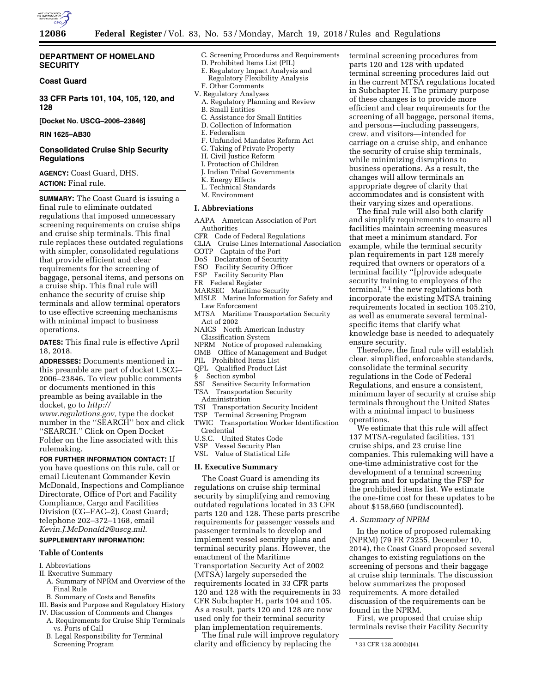

## **DEPARTMENT OF HOMELAND SECURITY**

### **Coast Guard**

**33 CFR Parts 101, 104, 105, 120, and 128** 

**[Docket No. USCG–2006–23846]** 

### **RIN 1625–AB30**

## **Consolidated Cruise Ship Security Regulations**

**AGENCY:** Coast Guard, DHS. **ACTION:** Final rule.

**SUMMARY:** The Coast Guard is issuing a final rule to eliminate outdated regulations that imposed unnecessary screening requirements on cruise ships and cruise ship terminals. This final rule replaces these outdated regulations with simpler, consolidated regulations that provide efficient and clear requirements for the screening of baggage, personal items, and persons on a cruise ship. This final rule will enhance the security of cruise ship terminals and allow terminal operators to use effective screening mechanisms with minimal impact to business operations.

**DATES:** This final rule is effective April 18, 2018.

**ADDRESSES:** Documents mentioned in this preamble are part of docket USCG– 2006–23846. To view public comments or documents mentioned in this preamble as being available in the docket, go to *[http://](http://www.regulations.gov)*

*[www.regulations.gov,](http://www.regulations.gov)* type the docket number in the ''SEARCH'' box and click ''SEARCH.'' Click on Open Docket Folder on the line associated with this rulemaking.

### **FOR FURTHER INFORMATION CONTACT:** If

you have questions on this rule, call or email Lieutenant Commander Kevin McDonald, Inspections and Compliance Directorate, Office of Port and Facility Compliance, Cargo and Facilities Division (CG–FAC–2), Coast Guard; telephone 202–372–1168, email *[Kevin.J.McDonald2@uscg.mil.](mailto:Kevin.J.McDonald2@uscg.mil)* 

## **SUPPLEMENTARY INFORMATION:**

### **Table of Contents**

#### I. Abbreviations

- II. Executive Summary
- A. Summary of NPRM and Overview of the Final Rule
- B. Summary of Costs and Benefits
- III. Basis and Purpose and Regulatory History
- IV. Discussion of Comments and Changes
	- A. Requirements for Cruise Ship Terminals vs. Ports of Call
	- B. Legal Responsibility for Terminal Screening Program
- C. Screening Procedures and Requirements
- D. Prohibited Items List (PIL)
- E. Regulatory Impact Analysis and Regulatory Flexibility Analysis F. Other Comments
- V. Regulatory Analyses
	- A. Regulatory Planning and Review B. Small Entities
	- C. Assistance for Small Entities
	- D. Collection of Information
	- E. Federalism
- F. Unfunded Mandates Reform Act
- G. Taking of Private Property
- H. Civil Justice Reform
- I. Protection of Children
- J. Indian Tribal Governments
- K. Energy Effects
- L. Technical Standards
- M. Environment

## **I. Abbreviations**

- AAPA American Association of Port Authorities
- CFR Code of Federal Regulations
- CLIA Cruise Lines International Association
- COTP Captain of the Port
- DoS Declaration of Security
- FSO Facility Security Officer
- FSP Facility Security Plan
- FR Federal Register
- MARSEC Maritime Security
- MISLE Marine Information for Safety and Law Enforcement
- MTSA Maritime Transportation Security Act of 2002
- NAICS North American Industry Classification System
- NPRM Notice of proposed rulemaking
- OMB Office of Management and Budget
- PIL Prohibited Items List
- QPL Qualified Product List
- § Section symbol
- SSI Sensitive Security Information TSA Transportation Security
- Administration
- TSI Transportation Security Incident
- TSP Terminal Screening Program
- TWIC Transportation Worker Identification Credential
- U.S.C. United States Code
- Vessel Security Plan
- VSL Value of Statistical Life

## **II. Executive Summary**

The Coast Guard is amending its regulations on cruise ship terminal security by simplifying and removing outdated regulations located in 33 CFR parts 120 and 128. These parts prescribe requirements for passenger vessels and passenger terminals to develop and implement vessel security plans and terminal security plans. However, the enactment of the Maritime Transportation Security Act of 2002 (MTSA) largely superseded the requirements located in 33 CFR parts 120 and 128 with the requirements in 33 CFR Subchapter H, parts 104 and 105. As a result, parts 120 and 128 are now used only for their terminal security plan implementation requirements.

The final rule will improve regulatory clarity and efficiency by replacing the

terminal screening procedures from parts 120 and 128 with updated terminal screening procedures laid out in the current MTSA regulations located in Subchapter H. The primary purpose of these changes is to provide more efficient and clear requirements for the screening of all baggage, personal items, and persons—including passengers, crew, and visitors—intended for carriage on a cruise ship, and enhance the security of cruise ship terminals, while minimizing disruptions to business operations. As a result, the changes will allow terminals an appropriate degree of clarity that accommodates and is consistent with their varying sizes and operations.

The final rule will also both clarify and simplify requirements to ensure all facilities maintain screening measures that meet a minimum standard. For example, while the terminal security plan requirements in part 128 merely required that owners or operators of a terminal facility ''[p]rovide adequate security training to employees of the terminal,'' 1 the new regulations both incorporate the existing MTSA training requirements located in section 105.210, as well as enumerate several terminalspecific items that clarify what knowledge base is needed to adequately ensure security.

Therefore, the final rule will establish clear, simplified, enforceable standards, consolidate the terminal security regulations in the Code of Federal Regulations, and ensure a consistent, minimum layer of security at cruise ship terminals throughout the United States with a minimal impact to business operations.

We estimate that this rule will affect 137 MTSA-regulated facilities, 131 cruise ships, and 23 cruise line companies. This rulemaking will have a one-time administrative cost for the development of a terminal screening program and for updating the FSP for the prohibited items list. We estimate the one-time cost for these updates to be about \$158,660 (undiscounted).

## *A. Summary of NPRM*

In the notice of proposed rulemaking (NPRM) (79 FR 73255, December 10, 2014), the Coast Guard proposed several changes to existing regulations on the screening of persons and their baggage at cruise ship terminals. The discussion below summarizes the proposed requirements. A more detailed discussion of the requirements can be found in the NPRM.

First, we proposed that cruise ship terminals revise their Facility Security

<sup>1</sup> 33 CFR 128.300(b)(4).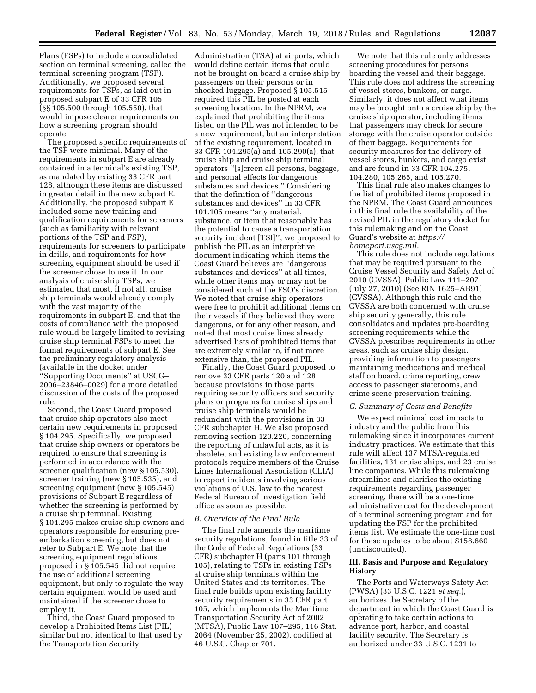Plans (FSPs) to include a consolidated section on terminal screening, called the terminal screening program (TSP). Additionally, we proposed several requirements for TSPs, as laid out in proposed subpart E of 33 CFR 105 (§§ 105.500 through 105.550), that would impose clearer requirements on how a screening program should operate.

The proposed specific requirements of the TSP were minimal. Many of the requirements in subpart E are already contained in a terminal's existing TSP, as mandated by existing 33 CFR part 128, although these items are discussed in greater detail in the new subpart E. Additionally, the proposed subpart E included some new training and qualification requirements for screeners (such as familiarity with relevant portions of the TSP and FSP), requirements for screeners to participate in drills, and requirements for how screening equipment should be used if the screener chose to use it. In our analysis of cruise ship TSPs, we estimated that most, if not all, cruise ship terminals would already comply with the vast majority of the requirements in subpart E, and that the costs of compliance with the proposed rule would be largely limited to revising cruise ship terminal FSPs to meet the format requirements of subpart E. See the preliminary regulatory analysis (available in the docket under ''Supporting Documents'' at USCG– 2006–23846–0029) for a more detailed discussion of the costs of the proposed rule.

Second, the Coast Guard proposed that cruise ship operators also meet certain new requirements in proposed § 104.295. Specifically, we proposed that cruise ship owners or operators be required to ensure that screening is performed in accordance with the screener qualification (new § 105.530), screener training (new § 105.535), and screening equipment (new § 105.545) provisions of Subpart E regardless of whether the screening is performed by a cruise ship terminal. Existing § 104.295 makes cruise ship owners and operators responsible for ensuring preembarkation screening, but does not refer to Subpart E. We note that the screening equipment regulations proposed in § 105.545 did not require the use of additional screening equipment, but only to regulate the way certain equipment would be used and maintained if the screener chose to employ it.

Third, the Coast Guard proposed to develop a Prohibited Items List (PIL) similar but not identical to that used by the Transportation Security

Administration (TSA) at airports, which would define certain items that could not be brought on board a cruise ship by passengers on their persons or in checked luggage. Proposed § 105.515 required this PIL be posted at each screening location. In the NPRM, we explained that prohibiting the items listed on the PIL was not intended to be a new requirement, but an interpretation of the existing requirement, located in 33 CFR 104.295(a) and 105.290(a), that cruise ship and cruise ship terminal operators ''[s]creen all persons, baggage, and personal effects for dangerous substances and devices.'' Considering that the definition of ''dangerous substances and devices'' in 33 CFR 101.105 means ''any material, substance, or item that reasonably has the potential to cause a transportation security incident [TSI]'', we proposed to publish the PIL as an interpretive document indicating which items the Coast Guard believes are ''dangerous substances and devices'' at all times, while other items may or may not be considered such at the FSO's discretion. We noted that cruise ship operators were free to prohibit additional items on their vessels if they believed they were dangerous, or for any other reason, and noted that most cruise lines already advertised lists of prohibited items that are extremely similar to, if not more extensive than, the proposed PIL.

Finally, the Coast Guard proposed to remove 33 CFR parts 120 and 128 because provisions in those parts requiring security officers and security plans or programs for cruise ships and cruise ship terminals would be redundant with the provisions in 33 CFR subchapter H. We also proposed removing section 120.220, concerning the reporting of unlawful acts, as it is obsolete, and existing law enforcement protocols require members of the Cruise Lines International Association (CLIA) to report incidents involving serious violations of U.S. law to the nearest Federal Bureau of Investigation field office as soon as possible.

### *B. Overview of the Final Rule*

The final rule amends the maritime security regulations, found in title 33 of the Code of Federal Regulations (33 CFR) subchapter H (parts 101 through 105), relating to TSPs in existing FSPs at cruise ship terminals within the United States and its territories. The final rule builds upon existing facility security requirements in 33 CFR part 105, which implements the Maritime Transportation Security Act of 2002 (MTSA), Public Law 107–295, 116 Stat. 2064 (November 25, 2002), codified at 46 U.S.C. Chapter 701.

We note that this rule only addresses screening procedures for persons boarding the vessel and their baggage. This rule does not address the screening of vessel stores, bunkers, or cargo. Similarly, it does not affect what items may be brought onto a cruise ship by the cruise ship operator, including items that passengers may check for secure storage with the cruise operator outside of their baggage. Requirements for security measures for the delivery of vessel stores, bunkers, and cargo exist and are found in 33 CFR 104.275, 104.280, 105.265, and 105.270.

This final rule also makes changes to the list of prohibited items proposed in the NPRM. The Coast Guard announces in this final rule the availability of the revised PIL in the regulatory docket for this rulemaking and on the Coast Guard's website at *[https://](https://homeport.uscg.mil) [homeport.uscg.mil.](https://homeport.uscg.mil)* 

This rule does not include regulations that may be required pursuant to the Cruise Vessel Security and Safety Act of 2010 (CVSSA), Public Law 111–207 (July 27, 2010) (See RIN 1625–AB91) (CVSSA). Although this rule and the CVSSA are both concerned with cruise ship security generally, this rule consolidates and updates pre-boarding screening requirements while the CVSSA prescribes requirements in other areas, such as cruise ship design, providing information to passengers, maintaining medications and medical staff on board, crime reporting, crew access to passenger staterooms, and crime scene preservation training.

#### *C. Summary of Costs and Benefits*

We expect minimal cost impacts to industry and the public from this rulemaking since it incorporates current industry practices. We estimate that this rule will affect 137 MTSA-regulated facilities, 131 cruise ships, and 23 cruise line companies. While this rulemaking streamlines and clarifies the existing requirements regarding passenger screening, there will be a one-time administrative cost for the development of a terminal screening program and for updating the FSP for the prohibited items list. We estimate the one-time cost for these updates to be about \$158,660 (undiscounted).

### **III. Basis and Purpose and Regulatory History**

The Ports and Waterways Safety Act (PWSA) (33 U.S.C. 1221 *et seq.*), authorizes the Secretary of the department in which the Coast Guard is operating to take certain actions to advance port, harbor, and coastal facility security. The Secretary is authorized under 33 U.S.C. 1231 to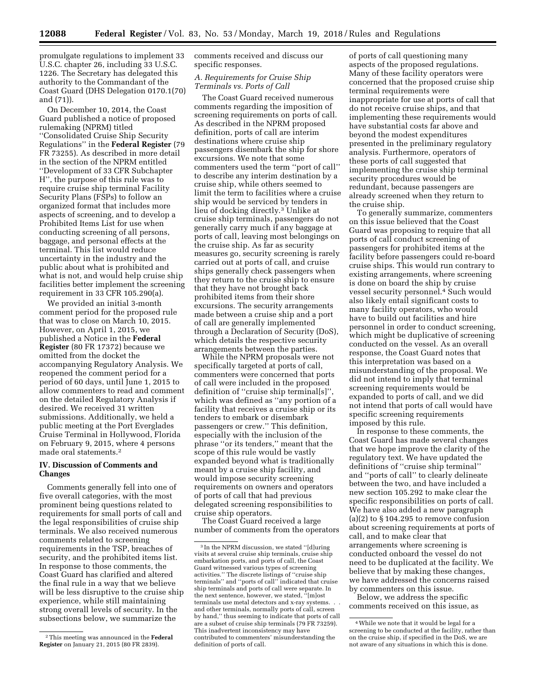promulgate regulations to implement 33 U.S.C. chapter 26, including 33 U.S.C. 1226. The Secretary has delegated this authority to the Commandant of the Coast Guard (DHS Delegation 0170.1(70) and (71)).

On December 10, 2014, the Coast Guard published a notice of proposed rulemaking (NPRM) titled ''Consolidated Cruise Ship Security Regulations'' in the **Federal Register** (79 FR 73255). As described in more detail in the section of the NPRM entitled ''Development of 33 CFR Subchapter H'', the purpose of this rule was to require cruise ship terminal Facility Security Plans (FSPs) to follow an organized format that includes more aspects of screening, and to develop a Prohibited Items List for use when conducting screening of all persons, baggage, and personal effects at the terminal. This list would reduce uncertainty in the industry and the public about what is prohibited and what is not, and would help cruise ship facilities better implement the screening requirement in 33 CFR 105.290(a).

We provided an initial 3-month comment period for the proposed rule that was to close on March 10, 2015. However, on April 1, 2015, we published a Notice in the **Federal Register** (80 FR 17372) because we omitted from the docket the accompanying Regulatory Analysis. We reopened the comment period for a period of 60 days, until June 1, 2015 to allow commenters to read and comment on the detailed Regulatory Analysis if desired. We received 31 written submissions. Additionally, we held a public meeting at the Port Everglades Cruise Terminal in Hollywood, Florida on February 9, 2015, where 4 persons made oral statements.2

## **IV. Discussion of Comments and Changes**

Comments generally fell into one of five overall categories, with the most prominent being questions related to requirements for small ports of call and the legal responsibilities of cruise ship terminals. We also received numerous comments related to screening requirements in the TSP, breaches of security, and the prohibited items list. In response to those comments, the Coast Guard has clarified and altered the final rule in a way that we believe will be less disruptive to the cruise ship experience, while still maintaining strong overall levels of security. In the subsections below, we summarize the

comments received and discuss our specific responses.

## *A. Requirements for Cruise Ship Terminals vs. Ports of Call*

The Coast Guard received numerous comments regarding the imposition of screening requirements on ports of call. As described in the NPRM proposed definition, ports of call are interim destinations where cruise ship passengers disembark the ship for shore excursions. We note that some commenters used the term ''port of call'' to describe any interim destination by a cruise ship, while others seemed to limit the term to facilities where a cruise ship would be serviced by tenders in lieu of docking directly.3 Unlike at cruise ship terminals, passengers do not generally carry much if any baggage at ports of call, leaving most belongings on the cruise ship. As far as security measures go, security screening is rarely carried out at ports of call, and cruise ships generally check passengers when they return to the cruise ship to ensure that they have not brought back prohibited items from their shore excursions. The security arrangements made between a cruise ship and a port of call are generally implemented through a Declaration of Security (DoS), which details the respective security arrangements between the parties.

While the NPRM proposals were not specifically targeted at ports of call, commenters were concerned that ports of call were included in the proposed definition of "cruise ship terminal[s]" which was defined as ''any portion of a facility that receives a cruise ship or its tenders to embark or disembark passengers or crew.'' This definition, especially with the inclusion of the phrase ''or its tenders,'' meant that the scope of this rule would be vastly expanded beyond what is traditionally meant by a cruise ship facility, and would impose security screening requirements on owners and operators of ports of call that had previous delegated screening responsibilities to cruise ship operators.

The Coast Guard received a large number of comments from the operators

of ports of call questioning many aspects of the proposed regulations. Many of these facility operators were concerned that the proposed cruise ship terminal requirements were inappropriate for use at ports of call that do not receive cruise ships, and that implementing these requirements would have substantial costs far above and beyond the modest expenditures presented in the preliminary regulatory analysis. Furthermore, operators of these ports of call suggested that implementing the cruise ship terminal security procedures would be redundant, because passengers are already screened when they return to the cruise ship.

To generally summarize, commenters on this issue believed that the Coast Guard was proposing to require that all ports of call conduct screening of passengers for prohibited items at the facility before passengers could re-board cruise ships. This would run contrary to existing arrangements, where screening is done on board the ship by cruise vessel security personnel.4 Such would also likely entail significant costs to many facility operators, who would have to build out facilities and hire personnel in order to conduct screening, which might be duplicative of screening conducted on the vessel. As an overall response, the Coast Guard notes that this interpretation was based on a misunderstanding of the proposal. We did not intend to imply that terminal screening requirements would be expanded to ports of call, and we did not intend that ports of call would have specific screening requirements imposed by this rule.

In response to these comments, the Coast Guard has made several changes that we hope improve the clarity of the regulatory text. We have updated the definitions of ''cruise ship terminal'' and ''ports of call'' to clearly delineate between the two, and have included a new section 105.292 to make clear the specific responsibilities on ports of call. We have also added a new paragraph (a)(2) to  $\S 104.295$  to remove confusion about screening requirements at ports of call, and to make clear that arrangements where screening is conducted onboard the vessel do not need to be duplicated at the facility. We believe that by making these changes, we have addressed the concerns raised by commenters on this issue.

Below, we address the specific comments received on this issue, as

<sup>2</sup>This meeting was announced in the **Federal Register** on January 21, 2015 (80 FR 2839).

<sup>&</sup>lt;sup>3</sup> In the NPRM discussion, we stated "[d]uring visits at several cruise ship terminals, cruise ship embarkation ports, and ports of call, the Coast Guard witnessed various types of screening activities.'' The discrete listings of ''cruise ship terminals'' and ''ports of call'' indicated that cruise ship terminals and ports of call were separate. In the next sentence, however, we stated, ''[m]ost terminals use metal detectors and x-ray systems. and other terminals, normally ports of call, screen by hand,'' thus seeming to indicate that ports of call are a subset of cruise ship terminals (79 FR 73259). This inadvertent inconsistency may have contributed to commenters' misunderstanding the definition of ports of call.

<sup>4</sup>While we note that it would be legal for a screening to be conducted at the facility, rather than on the cruise ship, if specified in the DoS, we are not aware of any situations in which this is done.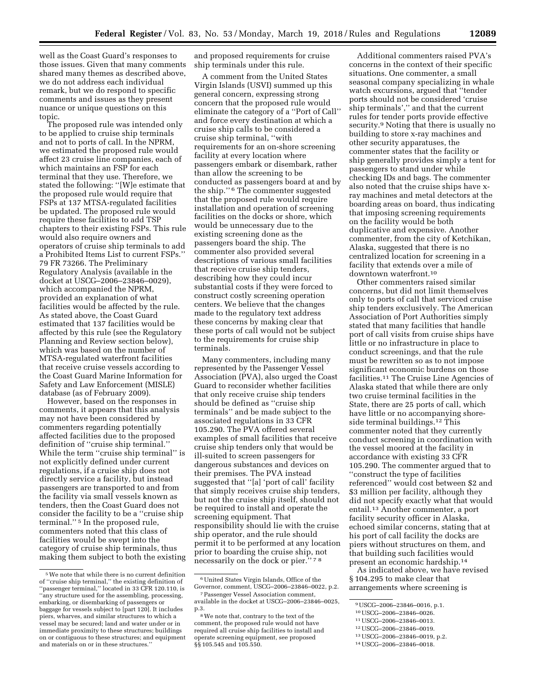well as the Coast Guard's responses to those issues. Given that many comments shared many themes as described above, we do not address each individual remark, but we do respond to specific comments and issues as they present nuance or unique questions on this topic.

The proposed rule was intended only to be applied to cruise ship terminals and not to ports of call. In the NPRM, we estimated the proposed rule would affect 23 cruise line companies, each of which maintains an FSP for each terminal that they use. Therefore, we stated the following: ''[W]e estimate that the proposed rule would require that FSPs at 137 MTSA-regulated facilities be updated. The proposed rule would require these facilities to add TSP chapters to their existing FSPs. This rule would also require owners and operators of cruise ship terminals to add a Prohibited Items List to current FSPs.'' 79 FR 73266. The Preliminary Regulatory Analysis (available in the docket at USCG–2006–23846–0029), which accompanied the NPRM, provided an explanation of what facilities would be affected by the rule. As stated above, the Coast Guard estimated that 137 facilities would be affected by this rule (see the Regulatory Planning and Review section below), which was based on the number of MTSA-regulated waterfront facilities that receive cruise vessels according to the Coast Guard Marine Information for Safety and Law Enforcement (MISLE) database (as of February 2009).

However, based on the responses in comments, it appears that this analysis may not have been considered by commenters regarding potentially affected facilities due to the proposed definition of ''cruise ship terminal.'' While the term ''cruise ship terminal'' is not explicitly defined under current regulations, if a cruise ship does not directly service a facility, but instead passengers are transported to and from the facility via small vessels known as tenders, then the Coast Guard does not consider the facility to be a ''cruise ship terminal.'' 5 In the proposed rule, commenters noted that this class of facilities would be swept into the category of cruise ship terminals, thus making them subject to both the existing

and proposed requirements for cruise ship terminals under this rule.

A comment from the United States Virgin Islands (USVI) summed up this general concern, expressing strong concern that the proposed rule would eliminate the category of a ''Port of Call'' and force every destination at which a cruise ship calls to be considered a cruise ship terminal, ''with requirements for an on-shore screening facility at every location where passengers embark or disembark, rather than allow the screening to be conducted as passengers board at and by the ship.'' 6 The commenter suggested that the proposed rule would require installation and operation of screening facilities on the docks or shore, which would be unnecessary due to the existing screening done as the passengers board the ship. The commenter also provided several descriptions of various small facilities that receive cruise ship tenders, describing how they could incur substantial costs if they were forced to construct costly screening operation centers. We believe that the changes made to the regulatory text address these concerns by making clear that these ports of call would not be subject to the requirements for cruise ship terminals.

Many commenters, including many represented by the Passenger Vessel Association (PVA), also urged the Coast Guard to reconsider whether facilities that only receive cruise ship tenders should be defined as ''cruise ship terminals'' and be made subject to the associated regulations in 33 CFR 105.290. The PVA offered several examples of small facilities that receive cruise ship tenders only that would be ill-suited to screen passengers for dangerous substances and devices on their premises. The PVA instead suggested that ''[a] 'port of call' facility that simply receives cruise ship tenders, but not the cruise ship itself, should not be required to install and operate the screening equipment. That responsibility should lie with the cruise ship operator, and the rule should permit it to be performed at any location prior to boarding the cruise ship, not necessarily on the dock or pier.'' 7 8

Additional commenters raised PVA's concerns in the context of their specific situations. One commenter, a small seasonal company specializing in whale watch excursions, argued that ''tender ports should not be considered 'cruise ship terminals','' and that the current rules for tender ports provide effective security.9 Noting that there is usually no building to store x-ray machines and other security apparatuses, the commenter states that the facility or ship generally provides simply a tent for passengers to stand under while checking IDs and bags. The commenter also noted that the cruise ships have xray machines and metal detectors at the boarding areas on board, thus indicating that imposing screening requirements on the facility would be both duplicative and expensive. Another commenter, from the city of Ketchikan, Alaska, suggested that there is no centralized location for screening in a facility that extends over a mile of downtown waterfront.10

Other commenters raised similar concerns, but did not limit themselves only to ports of call that serviced cruise ship tenders exclusively. The American Association of Port Authorities simply stated that many facilities that handle port of call visits from cruise ships have little or no infrastructure in place to conduct screenings, and that the rule must be rewritten so as to not impose significant economic burdens on those facilities.11 The Cruise Line Agencies of Alaska stated that while there are only two cruise terminal facilities in the State, there are 25 ports of call, which have little or no accompanying shoreside terminal buildings.12 This commenter noted that they currently conduct screening in coordination with the vessel moored at the facility in accordance with existing 33 CFR 105.290. The commenter argued that to ''construct the type of facilities referenced'' would cost between \$2 and \$3 million per facility, although they did not specify exactly what that would entail.13 Another commenter, a port facility security officer in Alaska, echoed similar concerns, stating that at his port of call facility the docks are piers without structures on them, and that building such facilities would present an economic hardship.14

As indicated above, we have revised § 104.295 to make clear that arrangements where screening is

<sup>5</sup>We note that while there is no current definition of ''cruise ship terminal,'' the existing definition of ''passenger terminal,'' located in 33 CFR 120.110, is ''any structure used for the assembling, processing, embarking, or disembarking of passengers or baggage for vessels subject to [part 120]. It includes piers, wharves, and similar structures to which a vessel may be secured; land and water under or in immediate proximity to these structures; buildings on or contiguous to these structures; and equipment and materials on or in these structures.''

<sup>6</sup>United States Virgin Islands, Office of the Governor, comment, USCG–2006–23846–0022, p.2.

<sup>7</sup>Passenger Vessel Association comment, available in the docket at USCG–2006–23846–0025, p.3.

<sup>8</sup>We note that, contrary to the text of the comment, the proposed rule would not have required all cruise ship facilities to install and operate screening equipment, see proposed §§ 105.545 and 105.550.

<sup>9</sup>USCG–2006–23846–0016, p.1.

<sup>10</sup>USCG–2006–23846–0026.

<sup>11</sup>USCG–2006–23846–0013.

<sup>12</sup>USCG–2006–23846–0019.

<sup>13</sup>USCG–2006–23846–0019, p.2.

<sup>14</sup>USCG–2006–23846–0018.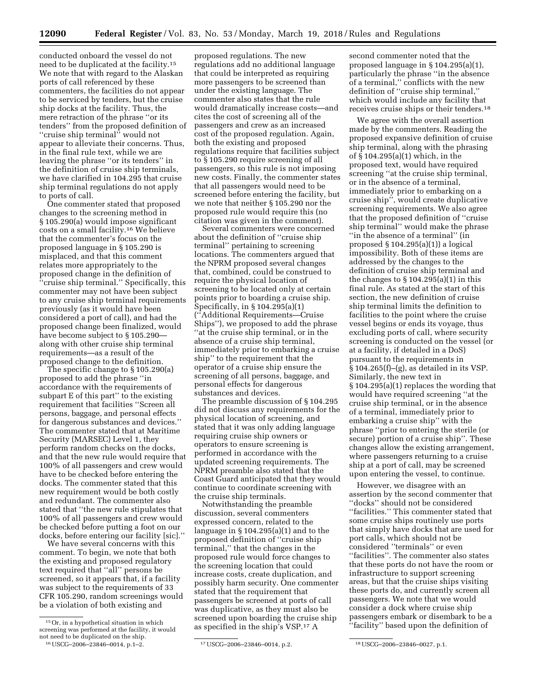conducted onboard the vessel do not need to be duplicated at the facility.15 We note that with regard to the Alaskan ports of call referenced by these commenters, the facilities do not appear to be serviced by tenders, but the cruise ship docks at the facility. Thus, the mere retraction of the phrase ''or its tenders'' from the proposed definition of ''cruise ship terminal'' would not appear to alleviate their concerns. Thus, in the final rule text, while we are leaving the phrase ''or its tenders'' in the definition of cruise ship terminals, we have clarified in 104.295 that cruise ship terminal regulations do not apply to ports of call.

One commenter stated that proposed changes to the screening method in § 105.290(a) would impose significant costs on a small facility.16 We believe that the commenter's focus on the proposed language in § 105.290 is misplaced, and that this comment relates more appropriately to the proposed change in the definition of ''cruise ship terminal.'' Specifically, this commenter may not have been subject to any cruise ship terminal requirements previously (as it would have been considered a port of call), and had the proposed change been finalized, would have become subject to § 105.290 along with other cruise ship terminal requirements—as a result of the proposed change to the definition.

The specific change to § 105.290(a) proposed to add the phrase ''in accordance with the requirements of subpart E of this part'' to the existing requirement that facilities ''Screen all persons, baggage, and personal effects for dangerous substances and devices.'' The commenter stated that at Maritime Security (MARSEC) Level 1, they perform random checks on the docks, and that the new rule would require that 100% of all passengers and crew would have to be checked before entering the docks. The commenter stated that this new requirement would be both costly and redundant. The commenter also stated that ''the new rule stipulates that 100% of all passengers and crew would be checked before putting a foot on our docks, before entering our facility [sic].''

We have several concerns with this comment. To begin, we note that both the existing and proposed regulatory text required that ''all'' persons be screened, so it appears that, if a facility was subject to the requirements of 33 CFR 105.290, random screenings would be a violation of both existing and

16USCG–2006–23846–0014, p.1–2. 17USCG–2006–23846–0014, p.2. 18USCG–2006–23846–0027, p.1.

proposed regulations. The new regulations add no additional language that could be interpreted as requiring more passengers to be screened than under the existing language. The commenter also states that the rule would dramatically increase costs—and cites the cost of screening all of the passengers and crew as an increased cost of the proposed regulation. Again, both the existing and proposed regulations require that facilities subject to § 105.290 require screening of all passengers, so this rule is not imposing new costs. Finally, the commenter states that all passengers would need to be screened before entering the facility, but we note that neither § 105.290 nor the proposed rule would require this (no citation was given in the comment).

Several commenters were concerned about the definition of ''cruise ship terminal'' pertaining to screening locations. The commenters argued that the NPRM proposed several changes that, combined, could be construed to require the physical location of screening to be located only at certain points prior to boarding a cruise ship. Specifically, in § 104.295(a)(1) (''Additional Requirements—Cruise Ships''), we proposed to add the phrase ''at the cruise ship terminal, or in the absence of a cruise ship terminal, immediately prior to embarking a cruise ship'' to the requirement that the operator of a cruise ship ensure the screening of all persons, baggage, and personal effects for dangerous substances and devices.

The preamble discussion of § 104.295 did not discuss any requirements for the physical location of screening, and stated that it was only adding language requiring cruise ship owners or operators to ensure screening is performed in accordance with the updated screening requirements. The NPRM preamble also stated that the Coast Guard anticipated that they would continue to coordinate screening with the cruise ship terminals.

Notwithstanding the preamble discussion, several commenters expressed concern, related to the language in § 104.295(a)(1) and to the proposed definition of ''cruise ship terminal,'' that the changes in the proposed rule would force changes to the screening location that could increase costs, create duplication, and possibly harm security. One commenter stated that the requirement that passengers be screened at ports of call was duplicative, as they must also be screened upon boarding the cruise ship as specified in the ship's VSP.17 A

second commenter noted that the proposed language in § 104.295(a)(1), particularly the phrase ''in the absence of a terminal,'' conflicts with the new definition of ''cruise ship terminal,'' which would include any facility that receives cruise ships or their tenders.18

We agree with the overall assertion made by the commenters. Reading the proposed expansive definition of cruise ship terminal, along with the phrasing of § 104.295(a)(1) which, in the proposed text, would have required screening ''at the cruise ship terminal, or in the absence of a terminal, immediately prior to embarking on a cruise ship'', would create duplicative screening requirements. We also agree that the proposed definition of ''cruise ship terminal'' would make the phrase ''in the absence of a terminal'' (in proposed § 104.295(a)(1)) a logical impossibility. Both of these items are addressed by the changes to the definition of cruise ship terminal and the changes to  $\S 104.295(a)(1)$  in this final rule. As stated at the start of this section, the new definition of cruise ship terminal limits the definition to facilities to the point where the cruise vessel begins or ends its voyage, thus excluding ports of call, where security screening is conducted on the vessel (or at a facility, if detailed in a DoS) pursuant to the requirements in § 104.265(f)–(g), as detailed in its VSP. Similarly, the new text in § 104.295(a)(1) replaces the wording that would have required screening ''at the cruise ship terminal, or in the absence of a terminal, immediately prior to embarking a cruise ship'' with the phrase ''prior to entering the sterile (or secure) portion of a cruise ship''. These changes allow the existing arrangement, where passengers returning to a cruise ship at a port of call, may be screened upon entering the vessel, to continue.

However, we disagree with an assertion by the second commenter that ''docks'' should not be considered ''facilities.'' This commenter stated that some cruise ships routinely use ports that simply have docks that are used for port calls, which should not be considered ''terminals'' or even ''facilities''. The commenter also states that these ports do not have the room or infrastructure to support screening areas, but that the cruise ships visiting these ports do, and currently screen all passengers. We note that we would consider a dock where cruise ship passengers embark or disembark to be a ''facility'' based upon the definition of

 $^{\rm 15}\rm{Or},$  in a hypothetical situation in which screening was performed at the facility, it would not need to be duplicated on the ship.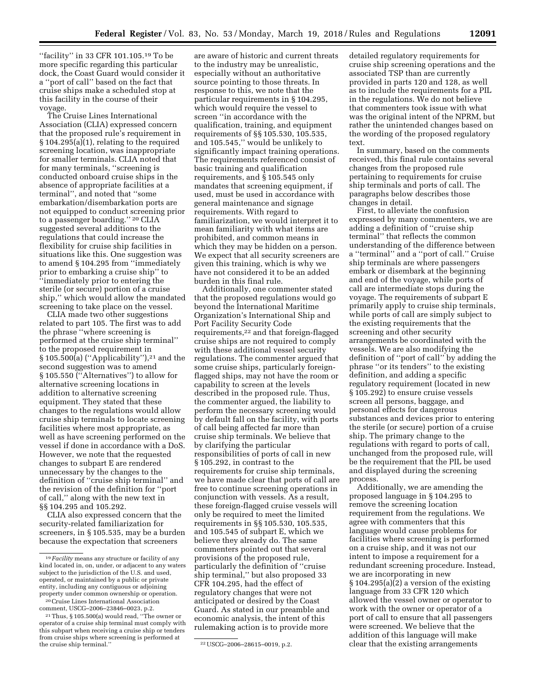"facility" in 33 CFR 101.105.<sup>19</sup> To be more specific regarding this particular dock, the Coast Guard would consider it a ''port of call'' based on the fact that cruise ships make a scheduled stop at this facility in the course of their voyage.

The Cruise Lines International Association (CLIA) expressed concern that the proposed rule's requirement in § 104.295(a)(1), relating to the required screening location, was inappropriate for smaller terminals. CLIA noted that for many terminals, ''screening is conducted onboard cruise ships in the absence of appropriate facilities at a terminal'', and noted that ''some embarkation/disembarkation ports are not equipped to conduct screening prior to a passenger boarding.'' 20 CLIA suggested several additions to the regulations that could increase the flexibility for cruise ship facilities in situations like this. One suggestion was to amend § 104.295 from ''immediately prior to embarking a cruise ship'' to ''immediately prior to entering the sterile (or secure) portion of a cruise ship,'' which would allow the mandated screening to take place on the vessel.

CLIA made two other suggestions related to part 105. The first was to add the phrase ''where screening is performed at the cruise ship terminal'' to the proposed requirement in § 105.500(a) (''Applicability''),21 and the second suggestion was to amend § 105.550 (''Alternatives'') to allow for alternative screening locations in addition to alternative screening equipment. They stated that these changes to the regulations would allow cruise ship terminals to locate screening facilities where most appropriate, as well as have screening performed on the vessel if done in accordance with a DoS. However, we note that the requested changes to subpart E are rendered unnecessary by the changes to the definition of ''cruise ship terminal'' and the revision of the definition for ''port of call,'' along with the new text in §§ 104.295 and 105.292.

CLIA also expressed concern that the security-related familiarization for screeners, in § 105.535, may be a burden because the expectation that screeners

are aware of historic and current threats to the industry may be unrealistic, especially without an authoritative source pointing to those threats. In response to this, we note that the particular requirements in § 104.295, which would require the vessel to screen ''in accordance with the qualification, training, and equipment requirements of §§ 105.530, 105.535, and 105.545,'' would be unlikely to significantly impact training operations. The requirements referenced consist of basic training and qualification requirements, and § 105.545 only mandates that screening equipment, if used, must be used in accordance with general maintenance and signage requirements. With regard to familiarization, we would interpret it to mean familiarity with what items are prohibited, and common means in which they may be hidden on a person. We expect that all security screeners are given this training, which is why we have not considered it to be an added burden in this final rule.

Additionally, one commenter stated that the proposed regulations would go beyond the International Maritime Organization's International Ship and Port Facility Security Code requirements,<sup>22</sup> and that foreign-flagged cruise ships are not required to comply with these additional vessel security regulations. The commenter argued that some cruise ships, particularly foreignflagged ships, may not have the room or capability to screen at the levels described in the proposed rule. Thus, the commenter argued, the liability to perform the necessary screening would by default fall on the facility, with ports of call being affected far more than cruise ship terminals. We believe that by clarifying the particular responsibilities of ports of call in new § 105.292, in contrast to the requirements for cruise ship terminals, we have made clear that ports of call are free to continue screening operations in conjunction with vessels. As a result, these foreign-flagged cruise vessels will only be required to meet the limited requirements in §§ 105.530, 105.535, and 105.545 of subpart E, which we believe they already do. The same commenters pointed out that several provisions of the proposed rule, particularly the definition of ''cruise ship terminal,'' but also proposed 33 CFR 104.295, had the effect of regulatory changes that were not anticipated or desired by the Coast Guard. As stated in our preamble and economic analysis, the intent of this rulemaking action is to provide more

detailed regulatory requirements for cruise ship screening operations and the associated TSP than are currently provided in parts 120 and 128, as well as to include the requirements for a PIL in the regulations. We do not believe that commenters took issue with what was the original intent of the NPRM, but rather the unintended changes based on the wording of the proposed regulatory text.

In summary, based on the comments received, this final rule contains several changes from the proposed rule pertaining to requirements for cruise ship terminals and ports of call. The paragraphs below describes those changes in detail.

First, to alleviate the confusion expressed by many commenters, we are adding a definition of ''cruise ship terminal'' that reflects the common understanding of the difference between a ''terminal'' and a ''port of call.'' Cruise ship terminals are where passengers embark or disembark at the beginning and end of the voyage, while ports of call are intermediate stops during the voyage. The requirements of subpart E primarily apply to cruise ship terminals, while ports of call are simply subject to the existing requirements that the screening and other security arrangements be coordinated with the vessels. We are also modifying the definition of ''port of call'' by adding the phrase ''or its tenders'' to the existing definition, and adding a specific regulatory requirement (located in new § 105.292) to ensure cruise vessels screen all persons, baggage, and personal effects for dangerous substances and devices prior to entering the sterile (or secure) portion of a cruise ship. The primary change to the regulations with regard to ports of call, unchanged from the proposed rule, will be the requirement that the PIL be used and displayed during the screening process.

Additionally, we are amending the proposed language in § 104.295 to remove the screening location requirement from the regulations. We agree with commenters that this language would cause problems for facilities where screening is performed on a cruise ship, and it was not our intent to impose a requirement for a redundant screening procedure. Instead, we are incorporating in new § 104.295(a)(2) a version of the existing language from 33 CFR 120 which allowed the vessel owner or operator to work with the owner or operator of a port of call to ensure that all passengers were screened. We believe that the addition of this language will make clear that the existing arrangements

<sup>19</sup> *Facility* means any structure or facility of any kind located in, on, under, or adjacent to any waters subject to the jurisdiction of the U.S. and used, operated, or maintained by a public or private entity, including any contiguous or adjoining property under common ownership or operation.

<sup>20</sup>Cruise Lines International Association comment, USCG–2006–23846–0023, p.2.

<sup>21</sup>Thus, § 105.500(a) would read, ''The owner or operator of a cruise ship terminal must comply with this subpart when receiving a cruise ship or tenders from cruise ships where screening is performed at

<sup>&</sup>lt;sup>22</sup> USCG-2006-28615-0019, p.2.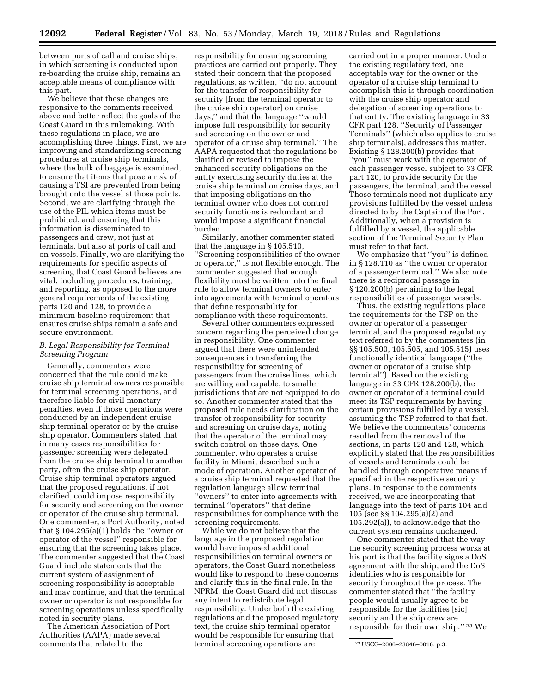between ports of call and cruise ships, in which screening is conducted upon re-boarding the cruise ship, remains an acceptable means of compliance with this part.

We believe that these changes are responsive to the comments received above and better reflect the goals of the Coast Guard in this rulemaking. With these regulations in place, we are accomplishing three things. First, we are improving and standardizing screening procedures at cruise ship terminals, where the bulk of baggage is examined, to ensure that items that pose a risk of causing a TSI are prevented from being brought onto the vessel at those points. Second, we are clarifying through the use of the PIL which items must be prohibited, and ensuring that this information is disseminated to passengers and crew, not just at terminals, but also at ports of call and on vessels. Finally, we are clarifying the requirements for specific aspects of screening that Coast Guard believes are vital, including procedures, training, and reporting, as opposed to the more general requirements of the existing parts 120 and 128, to provide a minimum baseline requirement that ensures cruise ships remain a safe and secure environment.

## *B. Legal Responsibility for Terminal Screening Program*

Generally, commenters were concerned that the rule could make cruise ship terminal owners responsible for terminal screening operations, and therefore liable for civil monetary penalties, even if those operations were conducted by an independent cruise ship terminal operator or by the cruise ship operator. Commenters stated that in many cases responsibilities for passenger screening were delegated from the cruise ship terminal to another party, often the cruise ship operator. Cruise ship terminal operators argued that the proposed regulations, if not clarified, could impose responsibility for security and screening on the owner or operator of the cruise ship terminal. One commenter, a Port Authority, noted that § 104.295(a)(1) holds the ''owner or operator of the vessel'' responsible for ensuring that the screening takes place. The commenter suggested that the Coast Guard include statements that the current system of assignment of screening responsibility is acceptable and may continue, and that the terminal owner or operator is not responsible for screening operations unless specifically noted in security plans.

The American Association of Port Authorities (AAPA) made several comments that related to the

responsibility for ensuring screening practices are carried out properly. They stated their concern that the proposed regulations, as written, ''do not account for the transfer of responsibility for security [from the terminal operator to the cruise ship operator] on cruise days,'' and that the language ''would impose full responsibility for security and screening on the owner and operator of a cruise ship terminal.'' The AAPA requested that the regulations be clarified or revised to impose the enhanced security obligations on the entity exercising security duties at the cruise ship terminal on cruise days, and that imposing obligations on the terminal owner who does not control security functions is redundant and would impose a significant financial burden.

Similarly, another commenter stated that the language in § 105.510, ''Screening responsibilities of the owner or operator,'' is not flexible enough. The commenter suggested that enough flexibility must be written into the final rule to allow terminal owners to enter into agreements with terminal operators that define responsibility for compliance with these requirements.

Several other commenters expressed concern regarding the perceived change in responsibility. One commenter argued that there were unintended consequences in transferring the responsibility for screening of passengers from the cruise lines, which are willing and capable, to smaller jurisdictions that are not equipped to do so. Another commenter stated that the proposed rule needs clarification on the transfer of responsibility for security and screening on cruise days, noting that the operator of the terminal may switch control on those days. One commenter, who operates a cruise facility in Miami, described such a mode of operation. Another operator of a cruise ship terminal requested that the regulation language allow terminal ''owners'' to enter into agreements with terminal ''operators'' that define responsibilities for compliance with the screening requirements.

While we do not believe that the language in the proposed regulation would have imposed additional responsibilities on terminal owners or operators, the Coast Guard nonetheless would like to respond to these concerns and clarify this in the final rule. In the NPRM, the Coast Guard did not discuss any intent to redistribute legal responsibility. Under both the existing regulations and the proposed regulatory text, the cruise ship terminal operator would be responsible for ensuring that terminal screening operations are

carried out in a proper manner. Under the existing regulatory text, one acceptable way for the owner or the operator of a cruise ship terminal to accomplish this is through coordination with the cruise ship operator and delegation of screening operations to that entity. The existing language in 33 CFR part 128, ''Security of Passenger Terminals'' (which also applies to cruise ship terminals), addresses this matter. Existing § 128.200(b) provides that ''you'' must work with the operator of each passenger vessel subject to 33 CFR part 120, to provide security for the passengers, the terminal, and the vessel. Those terminals need not duplicate any provisions fulfilled by the vessel unless directed to by the Captain of the Port. Additionally, when a provision is fulfilled by a vessel, the applicable section of the Terminal Security Plan must refer to that fact.

We emphasize that ''you'' is defined in § 128.110 as ''the owner or operator of a passenger terminal.'' We also note there is a reciprocal passage in § 120.200(b) pertaining to the legal responsibilities of passenger vessels.

Thus, the existing regulations place the requirements for the TSP on the owner or operator of a passenger terminal, and the proposed regulatory text referred to by the commenters (in §§ 105.500, 105.505, and 105.515) uses functionally identical language (''the owner or operator of a cruise ship terminal''). Based on the existing language in 33 CFR 128.200(b), the owner or operator of a terminal could meet its TSP requirements by having certain provisions fulfilled by a vessel, assuming the TSP referred to that fact. We believe the commenters' concerns resulted from the removal of the sections, in parts 120 and 128, which explicitly stated that the responsibilities of vessels and terminals could be handled through cooperative means if specified in the respective security plans. In response to the comments received, we are incorporating that language into the text of parts 104 and 105 (see §§ 104.295(a)(2) and 105.292(a)), to acknowledge that the current system remains unchanged.

One commenter stated that the way the security screening process works at his port is that the facility signs a DoS agreement with the ship, and the DoS identifies who is responsible for security throughout the process. The commenter stated that ''the facility people would usually agree to be responsible for the facilities [sic] security and the ship crew are responsible for their own ship.'' 23 We

<sup>23</sup>USCG–2006–23846–0016, p.3.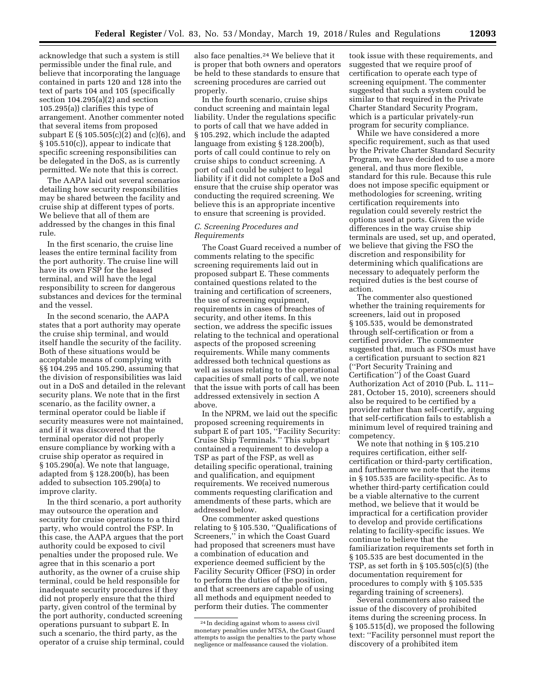acknowledge that such a system is still permissible under the final rule, and believe that incorporating the language contained in parts 120 and 128 into the text of parts 104 and 105 (specifically section 104.295(a)(2) and section 105.295(a)) clarifies this type of arrangement. Another commenter noted that several items from proposed subpart E (§ 105.505(c)(2) and (c)(6), and § 105.510(c)), appear to indicate that specific screening responsibilities can be delegated in the DoS, as is currently permitted. We note that this is correct.

The AAPA laid out several scenarios detailing how security responsibilities may be shared between the facility and cruise ship at different types of ports. We believe that all of them are addressed by the changes in this final rule.

In the first scenario, the cruise line leases the entire terminal facility from the port authority. The cruise line will have its own FSP for the leased terminal, and will have the legal responsibility to screen for dangerous substances and devices for the terminal and the vessel.

In the second scenario, the AAPA states that a port authority may operate the cruise ship terminal, and would itself handle the security of the facility. Both of these situations would be acceptable means of complying with §§ 104.295 and 105.290, assuming that the division of responsibilities was laid out in a DoS and detailed in the relevant security plans. We note that in the first scenario, as the facility owner, a terminal operator could be liable if security measures were not maintained, and if it was discovered that the terminal operator did not properly ensure compliance by working with a cruise ship operator as required in § 105.290(a). We note that language, adapted from § 128.200(b), has been added to subsection 105.290(a) to improve clarity.

In the third scenario, a port authority may outsource the operation and security for cruise operations to a third party, who would control the FSP. In this case, the AAPA argues that the port authority could be exposed to civil penalties under the proposed rule. We agree that in this scenario a port authority, as the owner of a cruise ship terminal, could be held responsible for inadequate security procedures if they did not properly ensure that the third party, given control of the terminal by the port authority, conducted screening operations pursuant to subpart E. In such a scenario, the third party, as the operator of a cruise ship terminal, could

also face penalties.24 We believe that it is proper that both owners and operators be held to these standards to ensure that screening procedures are carried out properly.

In the fourth scenario, cruise ships conduct screening and maintain legal liability. Under the regulations specific to ports of call that we have added in § 105.292, which include the adapted language from existing § 128.200(b), ports of call could continue to rely on cruise ships to conduct screening. A port of call could be subject to legal liability if it did not complete a DoS and ensure that the cruise ship operator was conducting the required screening. We believe this is an appropriate incentive to ensure that screening is provided.

## *C. Screening Procedures and Requirements*

The Coast Guard received a number of comments relating to the specific screening requirements laid out in proposed subpart E. These comments contained questions related to the training and certification of screeners, the use of screening equipment, requirements in cases of breaches of security, and other items. In this section, we address the specific issues relating to the technical and operational aspects of the proposed screening requirements. While many comments addressed both technical questions as well as issues relating to the operational capacities of small ports of call, we note that the issue with ports of call has been addressed extensively in section A above.

In the NPRM, we laid out the specific proposed screening requirements in subpart E of part 105, ''Facility Security: Cruise Ship Terminals.'' This subpart contained a requirement to develop a TSP as part of the FSP, as well as detailing specific operational, training and qualification, and equipment requirements. We received numerous comments requesting clarification and amendments of these parts, which are addressed below.

One commenter asked questions relating to § 105.530, ''Qualifications of Screeners,'' in which the Coast Guard had proposed that screeners must have a combination of education and experience deemed sufficient by the Facility Security Officer (FSO) in order to perform the duties of the position, and that screeners are capable of using all methods and equipment needed to perform their duties. The commenter

took issue with these requirements, and suggested that we require proof of certification to operate each type of screening equipment. The commenter suggested that such a system could be similar to that required in the Private Charter Standard Security Program, which is a particular privately-run program for security compliance.

While we have considered a more specific requirement, such as that used by the Private Charter Standard Security Program, we have decided to use a more general, and thus more flexible, standard for this rule. Because this rule does not impose specific equipment or methodologies for screening, writing certification requirements into regulation could severely restrict the options used at ports. Given the wide differences in the way cruise ship terminals are used, set up, and operated, we believe that giving the FSO the discretion and responsibility for determining which qualifications are necessary to adequately perform the required duties is the best course of action.

The commenter also questioned whether the training requirements for screeners, laid out in proposed § 105.535, would be demonstrated through self-certification or from a certified provider. The commenter suggested that, much as FSOs must have a certification pursuant to section 821 (''Port Security Training and Certification'') of the Coast Guard Authorization Act of 2010 (Pub. L. 111– 281, October 15, 2010), screeners should also be required to be certified by a provider rather than self-certify, arguing that self-certification fails to establish a minimum level of required training and competency.

We note that nothing in § 105.210 requires certification, either selfcertification or third-party certification, and furthermore we note that the items in § 105.535 are facility-specific. As to whether third-party certification could be a viable alternative to the current method, we believe that it would be impractical for a certification provider to develop and provide certifications relating to facility-specific issues. We continue to believe that the familiarization requirements set forth in § 105.535 are best documented in the TSP, as set forth in § 105.505(c)(5) (the documentation requirement for procedures to comply with § 105.535 regarding training of screeners).

Several commenters also raised the issue of the discovery of prohibited items during the screening process. In § 105.515(d), we proposed the following text: ''Facility personnel must report the discovery of a prohibited item

<sup>24</sup> In deciding against whom to assess civil monetary penalties under MTSA, the Coast Guard attempts to assign the penalties to the party whose negligence or malfeasance caused the violation.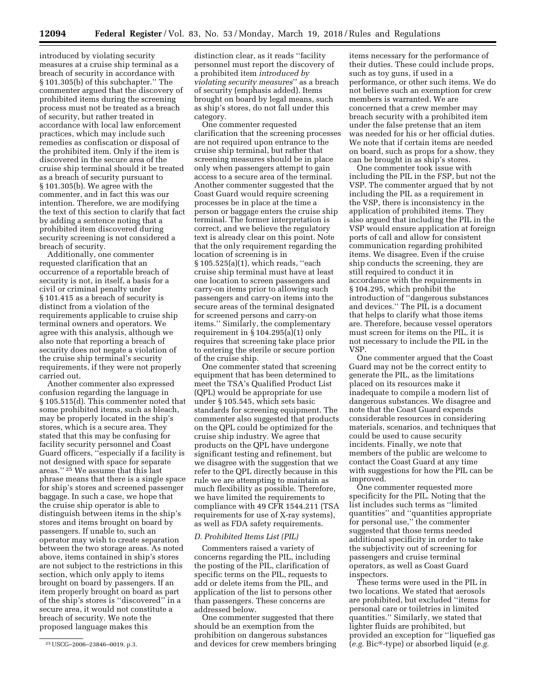introduced by violating security measures at a cruise ship terminal as a breach of security in accordance with § 101.305(b) of this subchapter.'' The commenter argued that the discovery of prohibited items during the screening process must not be treated as a breach of security, but rather treated in accordance with local law enforcement practices, which may include such remedies as confiscation or disposal of the prohibited item. Only if the item is discovered in the secure area of the cruise ship terminal should it be treated as a breach of security pursuant to § 101.305(b). We agree with the commenter, and in fact this was our intention. Therefore, we are modifying the text of this section to clarify that fact by adding a sentence noting that a prohibited item discovered during security screening is not considered a breach of security.

Additionally, one commenter requested clarification that an occurrence of a reportable breach of security is not, in itself, a basis for a civil or criminal penalty under § 101.415 as a breach of security is distinct from a violation of the requirements applicable to cruise ship terminal owners and operators. We agree with this analysis, although we also note that reporting a breach of security does not negate a violation of the cruise ship terminal's security requirements, if they were not properly carried out.

Another commenter also expressed confusion regarding the language in § 105.515(d). This commenter noted that some prohibited items, such as bleach, may be properly located in the ship's stores, which is a secure area. They stated that this may be confusing for facility security personnel and Coast Guard officers, ''especially if a facility is not designed with space for separate areas.'' 25 We assume that this last phrase means that there is a single space for ship's stores and screened passenger baggage. In such a case, we hope that the cruise ship operator is able to distinguish between items in the ship's stores and items brought on board by passengers. If unable to, such an operator may wish to create separation between the two storage areas. As noted above, items contained in ship's stores are not subject to the restrictions in this section, which only apply to items brought on board by passengers. If an item properly brought on board as part of the ship's stores is ''discovered'' in a secure area, it would not constitute a breach of security. We note the proposed language makes this

distinction clear, as it reads ''facility personnel must report the discovery of a prohibited item *introduced by violating security measures*'' as a breach of security (emphasis added). Items brought on board by legal means, such as ship's stores, do not fall under this category.

One commenter requested clarification that the screening processes are not required upon entrance to the cruise ship terminal, but rather that screening measures should be in place only when passengers attempt to gain access to a secure area of the terminal. Another commenter suggested that the Coast Guard would require screening processes be in place at the time a person or baggage enters the cruise ship terminal. The former interpretation is correct, and we believe the regulatory text is already clear on this point. Note that the only requirement regarding the location of screening is in § 105.525(a)(1), which reads, ''each cruise ship terminal must have at least one location to screen passengers and carry-on items prior to allowing such passengers and carry-on items into the secure areas of the terminal designated for screened persons and carry-on items.'' Similarly, the complementary requirement in § 104.295(a)(1) only requires that screening take place prior to entering the sterile or secure portion of the cruise ship.

One commenter stated that screening equipment that has been determined to meet the TSA's Qualified Product List (QPL) would be appropriate for use under § 105.545, which sets basic standards for screening equipment. The commenter also suggested that products on the QPL could be optimized for the cruise ship industry. We agree that products on the QPL have undergone significant testing and refinement, but we disagree with the suggestion that we refer to the QPL directly because in this rule we are attempting to maintain as much flexibility as possible. Therefore, we have limited the requirements to compliance with 49 CFR 1544.211 (TSA requirements for use of X-ray systems), as well as FDA safety requirements.

#### *D. Prohibited Items List (PIL)*

Commenters raised a variety of concerns regarding the PIL, including the posting of the PIL, clarification of specific terms on the PIL, requests to add or delete items from the PIL, and application of the list to persons other than passengers. These concerns are addressed below.

One commenter suggested that there should be an exemption from the prohibition on dangerous substances and devices for crew members bringing items necessary for the performance of their duties. These could include props, such as toy guns, if used in a performance, or other such items. We do not believe such an exemption for crew members is warranted. We are concerned that a crew member may breach security with a prohibited item under the false pretense that an item was needed for his or her official duties. We note that if certain items are needed on board, such as props for a show, they can be brought in as ship's stores.

One commenter took issue with including the PIL in the FSP, but not the VSP. The commenter argued that by not including the PIL as a requirement in the VSP, there is inconsistency in the application of prohibited items. They also argued that including the PIL in the VSP would ensure application at foreign ports of call and allow for consistent communication regarding prohibited items. We disagree. Even if the cruise ship conducts the screening, they are still required to conduct it in accordance with the requirements in § 104.295, which prohibit the introduction of ''dangerous substances and devices.'' The PIL is a document that helps to clarify what those items are. Therefore, because vessel operators must screen for items on the PIL, it is not necessary to include the PIL in the VSP.

One commenter argued that the Coast Guard may not be the correct entity to generate the PIL, as the limitations placed on its resources make it inadequate to compile a modern list of dangerous substances. We disagree and note that the Coast Guard expends considerable resources in considering materials, scenarios, and techniques that could be used to cause security incidents. Finally, we note that members of the public are welcome to contact the Coast Guard at any time with suggestions for how the PIL can be improved.

One commenter requested more specificity for the PIL. Noting that the list includes such terms as ''limited quantities'' and ''quantities appropriate for personal use,'' the commenter suggested that those terms needed additional specificity in order to take the subjectivity out of screening for passengers and cruise terminal operators, as well as Coast Guard inspectors.

These terms were used in the PIL in two locations. We stated that aerosols are prohibited, but excluded ''items for personal care or toiletries in limited quantities.'' Similarly, we stated that lighter fluids are prohibited, but provided an exception for ''liquefied gas (*e.g.* Bic®-type) or absorbed liquid (*e.g.* 

<sup>25</sup>USCG–2006–23846–0019, p.3.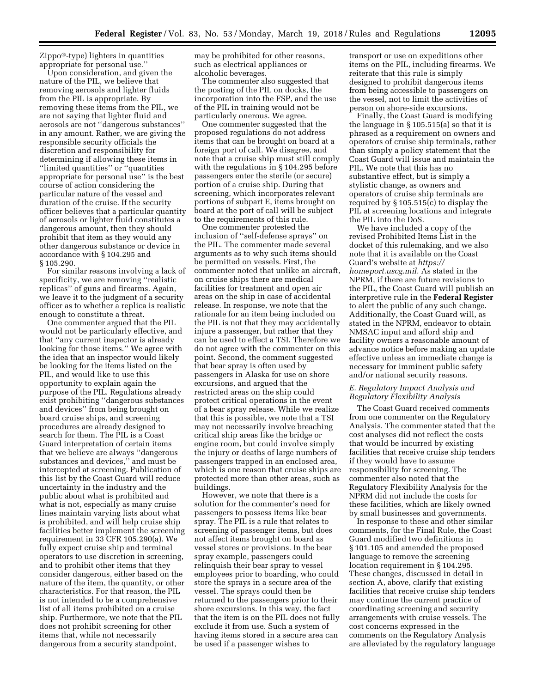Zippo®-type) lighters in quantities appropriate for personal use.''

Upon consideration, and given the nature of the PIL, we believe that removing aerosols and lighter fluids from the PIL is appropriate. By removing these items from the PIL, we are not saying that lighter fluid and aerosols are not ''dangerous substances'' in any amount. Rather, we are giving the responsible security officials the discretion and responsibility for determining if allowing these items in ''limited quantities'' or ''quantities appropriate for personal use'' is the best course of action considering the particular nature of the vessel and duration of the cruise. If the security officer believes that a particular quantity of aerosols or lighter fluid constitutes a dangerous amount, then they should prohibit that item as they would any other dangerous substance or device in accordance with § 104.295 and § 105.290.

For similar reasons involving a lack of specificity, we are removing ''realistic replicas'' of guns and firearms. Again, we leave it to the judgment of a security officer as to whether a replica is realistic enough to constitute a threat.

One commenter argued that the PIL would not be particularly effective, and that ''any current inspector is already looking for those items.'' We agree with the idea that an inspector would likely be looking for the items listed on the PIL, and would like to use this opportunity to explain again the purpose of the PIL. Regulations already exist prohibiting ''dangerous substances and devices'' from being brought on board cruise ships, and screening procedures are already designed to search for them. The PIL is a Coast Guard interpretation of certain items that we believe are always ''dangerous substances and devices,'' and must be intercepted at screening. Publication of this list by the Coast Guard will reduce uncertainty in the industry and the public about what is prohibited and what is not, especially as many cruise lines maintain varying lists about what is prohibited, and will help cruise ship facilities better implement the screening requirement in 33 CFR 105.290(a). We fully expect cruise ship and terminal operators to use discretion in screening, and to prohibit other items that they consider dangerous, either based on the nature of the item, the quantity, or other characteristics. For that reason, the PIL is not intended to be a comprehensive list of all items prohibited on a cruise ship. Furthermore, we note that the PIL does not prohibit screening for other items that, while not necessarily dangerous from a security standpoint,

may be prohibited for other reasons, such as electrical appliances or alcoholic beverages.

The commenter also suggested that the posting of the PIL on docks, the incorporation into the FSP, and the use of the PIL in training would not be particularly onerous. We agree.

One commenter suggested that the proposed regulations do not address items that can be brought on board at a foreign port of call. We disagree, and note that a cruise ship must still comply with the regulations in § 104.295 before passengers enter the sterile (or secure) portion of a cruise ship. During that screening, which incorporates relevant portions of subpart E, items brought on board at the port of call will be subject to the requirements of this rule.

One commenter protested the inclusion of ''self-defense sprays'' on the PIL. The commenter made several arguments as to why such items should be permitted on vessels. First, the commenter noted that unlike an aircraft, on cruise ships there are medical facilities for treatment and open air areas on the ship in case of accidental release. In response, we note that the rationale for an item being included on the PIL is not that they may accidentally injure a passenger, but rather that they can be used to effect a TSI. Therefore we do not agree with the commenter on this point. Second, the comment suggested that bear spray is often used by passengers in Alaska for use on shore excursions, and argued that the restricted areas on the ship could protect critical operations in the event of a bear spray release. While we realize that this is possible, we note that a TSI may not necessarily involve breaching critical ship areas like the bridge or engine room, but could involve simply the injury or deaths of large numbers of passengers trapped in an enclosed area, which is one reason that cruise ships are protected more than other areas, such as buildings.

However, we note that there is a solution for the commenter's need for passengers to possess items like bear spray. The PIL is a rule that relates to screening of passenger items, but does not affect items brought on board as vessel stores or provisions. In the bear spray example, passengers could relinquish their bear spray to vessel employees prior to boarding, who could store the sprays in a secure area of the vessel. The sprays could then be returned to the passengers prior to their shore excursions. In this way, the fact that the item is on the PIL does not fully exclude it from use. Such a system of having items stored in a secure area can be used if a passenger wishes to

transport or use on expeditions other items on the PIL, including firearms. We reiterate that this rule is simply designed to prohibit dangerous items from being accessible to passengers on the vessel, not to limit the activities of person on shore-side excursions.

Finally, the Coast Guard is modifying the language in § 105.515(a) so that it is phrased as a requirement on owners and operators of cruise ship terminals, rather than simply a policy statement that the Coast Guard will issue and maintain the PIL. We note that this has no substantive effect, but is simply a stylistic change, as owners and operators of cruise ship terminals are required by § 105.515(c) to display the PIL at screening locations and integrate the PIL into the DoS.

We have included a copy of the revised Prohibited Items List in the docket of this rulemaking, and we also note that it is available on the Coast Guard's website at *[https://](https://homeport.uscg.mil) [homeport.uscg.mil.](https://homeport.uscg.mil)* As stated in the NPRM, if there are future revisions to the PIL, the Coast Guard will publish an interpretive rule in the **Federal Register**  to alert the public of any such change. Additionally, the Coast Guard will, as stated in the NPRM, endeavor to obtain NMSAC input and afford ship and facility owners a reasonable amount of advance notice before making an update effective unless an immediate change is necessary for imminent public safety and/or national security reasons.

## *E. Regulatory Impact Analysis and Regulatory Flexibility Analysis*

The Coast Guard received comments from one commenter on the Regulatory Analysis. The commenter stated that the cost analyses did not reflect the costs that would be incurred by existing facilities that receive cruise ship tenders if they would have to assume responsibility for screening. The commenter also noted that the Regulatory Flexibility Analysis for the NPRM did not include the costs for these facilities, which are likely owned by small businesses and governments.

In response to these and other similar comments, for the Final Rule, the Coast Guard modified two definitions in § 101.105 and amended the proposed language to remove the screening location requirement in § 104.295. These changes, discussed in detail in section A, above, clarify that existing facilities that receive cruise ship tenders may continue the current practice of coordinating screening and security arrangements with cruise vessels. The cost concerns expressed in the comments on the Regulatory Analysis are alleviated by the regulatory language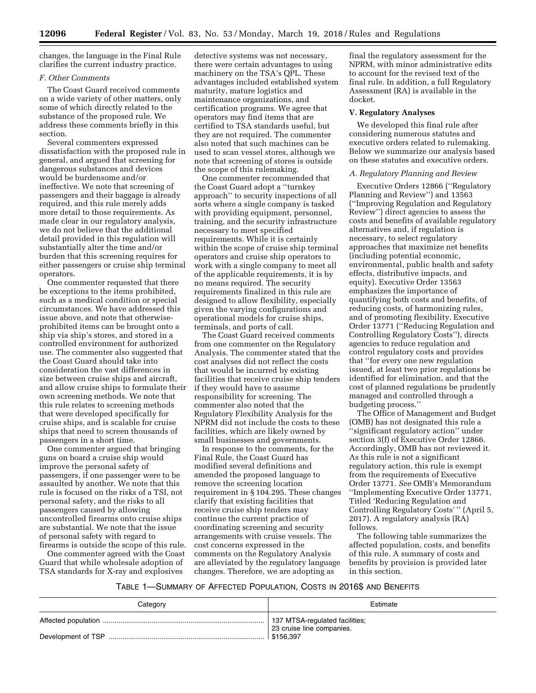changes, the language in the Final Rule clarifies the current industry practice.

## *F. Other Comments*

The Coast Guard received comments on a wide variety of other matters, only some of which directly related to the substance of the proposed rule. We address these comments briefly in this section.

Several commenters expressed dissatisfaction with the proposed rule in general, and argued that screening for dangerous substances and devices would be burdensome and/or ineffective. We note that screening of passengers and their baggage is already required, and this rule merely adds more detail to those requirements. As made clear in our regulatory analysis, we do not believe that the additional detail provided in this regulation will substantially alter the time and/or burden that this screening requires for either passengers or cruise ship terminal operators.

One commenter requested that there be exceptions to the items prohibited, such as a medical condition or special circumstances. We have addressed this issue above, and note that otherwiseprohibited items can be brought onto a ship via ship's stores, and stored in a controlled environment for authorized use. The commenter also suggested that the Coast Guard should take into consideration the vast differences in size between cruise ships and aircraft, and allow cruise ships to formulate their own screening methods. We note that this rule relates to screening methods that were developed specifically for cruise ships, and is scalable for cruise ships that need to screen thousands of passengers in a short time.

One commenter argued that bringing guns on board a cruise ship would improve the personal safety of passengers, if one passenger were to be assaulted by another. We note that this rule is focused on the risks of a TSI, not personal safety, and the risks to all passengers caused by allowing uncontrolled firearms onto cruise ships are substantial. We note that the issue of personal safety with regard to firearms is outside the scope of this rule.

One commenter agreed with the Coast Guard that while wholesale adoption of TSA standards for X-ray and explosives

detective systems was not necessary, there were certain advantages to using machinery on the TSA's QPL. These advantages included established system maturity, mature logistics and maintenance organizations, and certification programs. We agree that operators may find items that are certified to TSA standards useful, but they are not required. The commenter also noted that such machines can be used to scan vessel stores, although we note that screening of stores is outside the scope of this rulemaking.

One commenter recommended that the Coast Guard adopt a ''turnkey approach'' to security inspections of all sorts where a single company is tasked with providing equipment, personnel, training, and the security infrastructure necessary to meet specified requirements. While it is certainly within the scope of cruise ship terminal operators and cruise ship operators to work with a single company to meet all of the applicable requirements, it is by no means required. The security requirements finalized in this rule are designed to allow flexibility, especially given the varying configurations and operational models for cruise ships, terminals, and ports of call.

The Coast Guard received comments from one commenter on the Regulatory Analysis. The commenter stated that the cost analyses did not reflect the costs that would be incurred by existing facilities that receive cruise ship tenders if they would have to assume responsibility for screening. The commenter also noted that the Regulatory Flexibility Analysis for the NPRM did not include the costs to these facilities, which are likely owned by small businesses and governments.

In response to the comments, for the Final Rule, the Coast Guard has modified several definitions and amended the proposed language to remove the screening location requirement in § 104.295. These changes clarify that existing facilities that receive cruise ship tenders may continue the current practice of coordinating screening and security arrangements with cruise vessels. The cost concerns expressed in the comments on the Regulatory Analysis are alleviated by the regulatory language changes. Therefore, we are adopting as

final the regulatory assessment for the NPRM, with minor administrative edits to account for the revised text of the final rule. In addition, a full Regulatory Assessment (RA) is available in the docket.

## **V. Regulatory Analyses**

We developed this final rule after considering numerous statutes and executive orders related to rulemaking. Below we summarize our analysis based on these statutes and executive orders.

### *A. Regulatory Planning and Review*

Executive Orders 12866 (''Regulatory Planning and Review'') and 13563 (''Improving Regulation and Regulatory Review'') direct agencies to assess the costs and benefits of available regulatory alternatives and, if regulation is necessary, to select regulatory approaches that maximize net benefits (including potential economic, environmental, public health and safety effects, distributive impacts, and equity). Executive Order 13563 emphasizes the importance of quantifying both costs and benefits, of reducing costs, of harmonizing rules, and of promoting flexibility. Executive Order 13771 (''Reducing Regulation and Controlling Regulatory Costs''), directs agencies to reduce regulation and control regulatory costs and provides that ''for every one new regulation issued, at least two prior regulations be identified for elimination, and that the cost of planned regulations be prudently managed and controlled through a budgeting process.''

The Office of Management and Budget (OMB) has not designated this rule a ''significant regulatory action'' under section 3(f) of Executive Order 12866. Accordingly, OMB has not reviewed it. As this rule is not a significant regulatory action, this rule is exempt from the requirements of Executive Order 13771. *See* OMB's Memorandum ''Implementing Executive Order 13771, Titled 'Reducing Regulation and Controlling Regulatory Costs' '' (April 5, 2017). A regulatory analysis (RA) follows.

The following table summarizes the affected population, costs, and benefits of this rule. A summary of costs and benefits by provision is provided later in this section.

## TABLE 1—SUMMARY OF AFFECTED POPULATION, COSTS IN 2016\$ AND BENEFITS

| Category | Estimate                                                    |
|----------|-------------------------------------------------------------|
|          | 137 MTSA-regulated facilities;<br>23 cruise line companies. |
|          | \$156.397                                                   |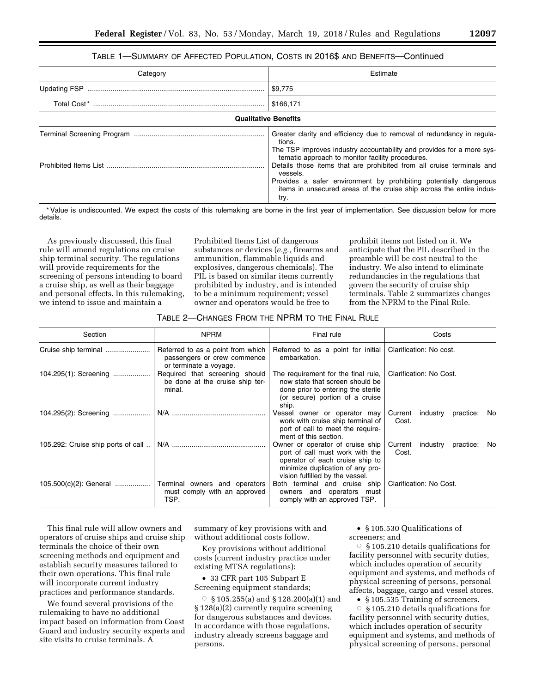# TABLE 1—SUMMARY OF AFFECTED POPULATION, COSTS IN 2016\$ AND BENEFITS—Continued

| Category | Estimate                                                                                                                                                                                                                               |
|----------|----------------------------------------------------------------------------------------------------------------------------------------------------------------------------------------------------------------------------------------|
|          | \$9,775                                                                                                                                                                                                                                |
|          | \$166,171                                                                                                                                                                                                                              |
|          | <b>Qualitative Benefits</b>                                                                                                                                                                                                            |
|          | Greater clarity and efficiency due to removal of redundancy in regula-<br>tions.<br>The TSP improves industry accountability and provides for a more sys-<br>tematic approach to monitor facility procedures.                          |
|          | Details those items that are prohibited from all cruise terminals and<br>vessels.<br>Provides a safer environment by prohibiting potentially dangerous<br>items in unsecured areas of the cruise ship across the entire indus-<br>try. |

\* Value is undiscounted. We expect the costs of this rulemaking are borne in the first year of implementation. See discussion below for more details.

As previously discussed, this final rule will amend regulations on cruise ship terminal security. The regulations will provide requirements for the screening of persons intending to board a cruise ship, as well as their baggage and personal effects. In this rulemaking, we intend to issue and maintain a

Prohibited Items List of dangerous substances or devices (*e.g.,* firearms and ammunition, flammable liquids and explosives, dangerous chemicals). The PIL is based on similar items currently prohibited by industry, and is intended to be a minimum requirement; vessel owner and operators would be free to

prohibit items not listed on it. We anticipate that the PIL described in the preamble will be cost neutral to the industry. We also intend to eliminate redundancies in the regulations that govern the security of cruise ship terminals. Table 2 summarizes changes from the NPRM to the Final Rule.

## TABLE 2—CHANGES FROM THE NPRM TO THE FINAL RULE

| Section                            | <b>NPRM</b>                                                                                | Final rule                                                                                                                                                                    | Costs                                            |
|------------------------------------|--------------------------------------------------------------------------------------------|-------------------------------------------------------------------------------------------------------------------------------------------------------------------------------|--------------------------------------------------|
|                                    | Referred to as a point from which<br>passengers or crew commence<br>or terminate a voyage. | Referred to as a point for initial<br>embarkation.                                                                                                                            | Clarification: No cost.                          |
| 104.295(1): Screening              | Required that screening should<br>be done at the cruise ship ter-<br>minal.                | The requirement for the final rule,<br>now state that screen should be<br>done prior to entering the sterile<br>(or secure) portion of a cruise<br>ship.                      | Clarification: No Cost.                          |
| 104.295(2): Screening              |                                                                                            | Vessel owner or operator may<br>work with cruise ship terminal of<br>port of call to meet the require-<br>ment of this section.                                               | Current<br>industry<br>practice:<br>No.<br>Cost. |
| 105.292: Cruise ship ports of call |                                                                                            | Owner or operator of cruise ship<br>port of call must work with the<br>operator of each cruise ship to<br>minimize duplication of any pro-<br>vision fulfilled by the vessel. | Current<br>industry<br>practice:<br>No.<br>Cost. |
| 105.500(c)(2): General             | Terminal owners and operators<br>must comply with an approved<br>TSP.                      | Both terminal and cruise ship<br>owners and operators must<br>comply with an approved TSP.                                                                                    | Clarification: No Cost.                          |

This final rule will allow owners and operators of cruise ships and cruise ship terminals the choice of their own screening methods and equipment and establish security measures tailored to their own operations. This final rule will incorporate current industry practices and performance standards.

We found several provisions of the rulemaking to have no additional impact based on information from Coast Guard and industry security experts and site visits to cruise terminals. A

summary of key provisions with and without additional costs follow.

Key provisions without additional costs (current industry practice under existing MTSA regulations):

• 33 CFR part 105 Subpart E Screening equipment standards;

 $\circ$  § 105.255(a) and § 128.200(a)(1) and § 128(a)(2) currently require screening for dangerous substances and devices. In accordance with those regulations, industry already screens baggage and persons.

• § 105.530 Qualifications of screeners; and

 $\circ$  § 105.210 details qualifications for facility personnel with security duties, which includes operation of security equipment and systems, and methods of physical screening of persons, personal affects, baggage, cargo and vessel stores.

• § 105.535 Training of screeners.

 $\bigcirc$  § 105.210 details qualifications for facility personnel with security duties, which includes operation of security equipment and systems, and methods of physical screening of persons, personal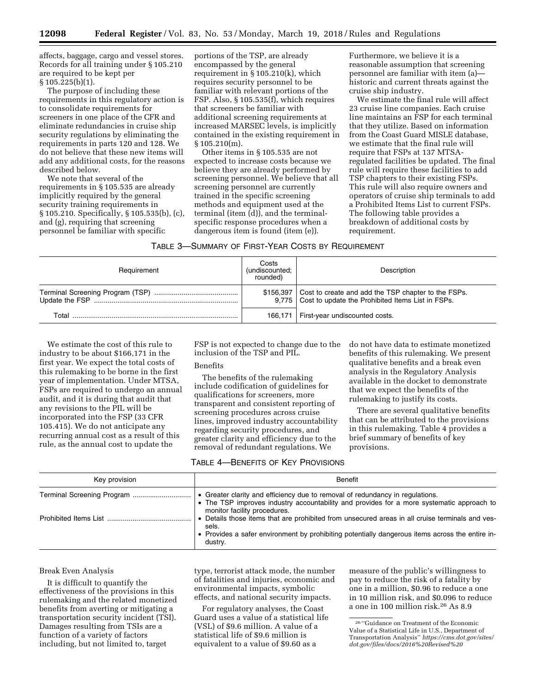affects, baggage, cargo and vessel stores. Records for all training under § 105.210 are required to be kept per § 105.225(b)(1).

The purpose of including these requirements in this regulatory action is to consolidate requirements for screeners in one place of the CFR and eliminate redundancies in cruise ship security regulations by eliminating the requirements in parts 120 and 128. We do not believe that these new items will add any additional costs, for the reasons described below.

We note that several of the requirements in § 105.535 are already implicitly required by the general security training requirements in § 105.210. Specifically, § 105.535(b), (c), and (g), requiring that screening personnel be familiar with specific

portions of the TSP, are already encompassed by the general requirement in § 105.210(k), which requires security personnel to be familiar with relevant portions of the FSP. Also, § 105.535(f), which requires that screeners be familiar with additional screening requirements at increased MARSEC levels, is implicitly contained in the existing requirement in § 105.210(m).

Other items in § 105.535 are not expected to increase costs because we believe they are already performed by screening personnel. We believe that all screening personnel are currently trained in the specific screening methods and equipment used at the terminal (item (d)), and the terminalspecific response procedures when a dangerous item is found (item (e)).

Furthermore, we believe it is a reasonable assumption that screening personnel are familiar with item (a) historic and current threats against the cruise ship industry.

We estimate the final rule will affect 23 cruise line companies. Each cruise line maintains an FSP for each terminal that they utilize. Based on information from the Coast Guard MISLE database, we estimate that the final rule will require that FSPs at 137 MTSAregulated facilities be updated. The final rule will require these facilities to add TSP chapters to their existing FSPs. This rule will also require owners and operators of cruise ship terminals to add a Prohibited Items List to current FSPs. The following table provides a breakdown of additional costs by requirement.

| Table 3—Summary of First-Year Costs by Requirement |  |
|----------------------------------------------------|--|
|----------------------------------------------------|--|

| Requirement | Costs<br>(undiscounted;<br>rounded) | Description                                                                                                                  |
|-------------|-------------------------------------|------------------------------------------------------------------------------------------------------------------------------|
|             |                                     | \$156,397   Cost to create and add the TSP chapter to the FSPs.<br>9,775   Cost to update the Prohibited Items List in FSPs. |
| Total       |                                     | 166,171   First-year undiscounted costs.                                                                                     |

We estimate the cost of this rule to industry to be about \$166,171 in the first year. We expect the total costs of this rulemaking to be borne in the first year of implementation. Under MTSA, FSPs are required to undergo an annual audit, and it is during that audit that any revisions to the PIL will be incorporated into the FSP (33 CFR 105.415). We do not anticipate any recurring annual cost as a result of this rule, as the annual cost to update the

FSP is not expected to change due to the inclusion of the TSP and PIL.

## Benefits

The benefits of the rulemaking include codification of guidelines for qualifications for screeners, more transparent and consistent reporting of screening procedures across cruise lines, improved industry accountability regarding security procedures, and greater clarity and efficiency due to the removal of redundant regulations. We

do not have data to estimate monetized benefits of this rulemaking. We present qualitative benefits and a break even analysis in the Regulatory Analysis available in the docket to demonstrate that we expect the benefits of the rulemaking to justify its costs.

There are several qualitative benefits that can be attributed to the provisions in this rulemaking. Table 4 provides a brief summary of benefits of key provisions.

## TABLE 4—BENEFITS OF KEY PROVISIONS

| Key provision | Benefit                                                                                                                                                                                                                |
|---------------|------------------------------------------------------------------------------------------------------------------------------------------------------------------------------------------------------------------------|
|               | • Greater clarity and efficiency due to removal of redundancy in regulations.<br>• The TSP improves industry accountability and provides for a more systematic approach to<br>monitor facility procedures.             |
|               | • Details those items that are prohibited from unsecured areas in all cruise terminals and ves-<br>sels.<br>• Provides a safer environment by prohibiting potentially dangerous items across the entire in-<br>dustry. |

### Break Even Analysis

It is difficult to quantify the effectiveness of the provisions in this rulemaking and the related monetized benefits from averting or mitigating a transportation security incident (TSI). Damages resulting from TSIs are a function of a variety of factors including, but not limited to, target

type, terrorist attack mode, the number of fatalities and injuries, economic and environmental impacts, symbolic effects, and national security impacts.

For regulatory analyses, the Coast Guard uses a value of a statistical life (VSL) of \$9.6 million. A value of a statistical life of \$9.6 million is equivalent to a value of \$9.60 as a

measure of the public's willingness to pay to reduce the risk of a fatality by one in a million, \$0.96 to reduce a one in 10 million risk, and \$0.096 to reduce a one in 100 million risk.26 As 8.9

<sup>26</sup> ''Guidance on Treatment of the Economic Value of a Statistical Life in U.S., Department of Transportation Analysis'' *[https://cms.dot.gov/sites/](https://cms.dot.gov/sites/dot.gov/files/docs/2016%20Revised%20Value%20of%20a%20Statistical%20Life%20Guidance.pdf)  [dot.gov/files/docs/2016%20Revised%20](https://cms.dot.gov/sites/dot.gov/files/docs/2016%20Revised%20Value%20of%20a%20Statistical%20Life%20Guidance.pdf)*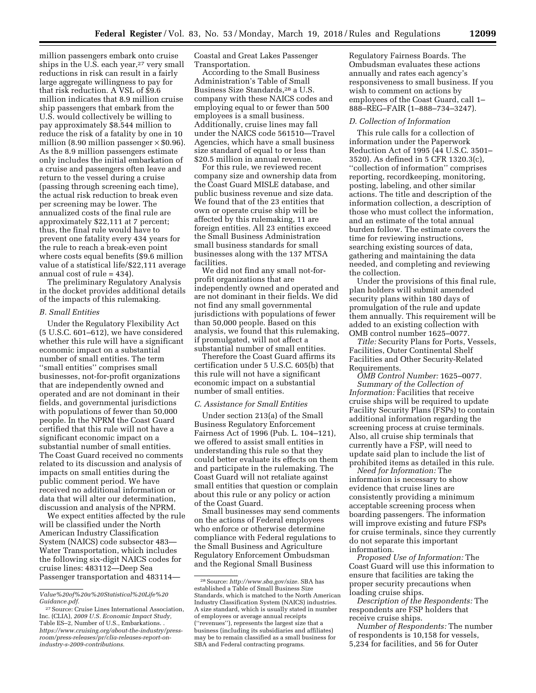million passengers embark onto cruise ships in the U.S. each year,<sup>27</sup> very small reductions in risk can result in a fairly large aggregate willingness to pay for that risk reduction. A VSL of \$9.6 million indicates that 8.9 million cruise ship passengers that embark from the U.S. would collectively be willing to pay approximately \$8.544 million to reduce the risk of a fatality by one in 10 million (8.90 million passenger  $\times$  \$0.96). As the 8.9 million passengers estimate only includes the initial embarkation of a cruise and passengers often leave and return to the vessel during a cruise (passing through screening each time), the actual risk reduction to break even per screening may be lower. The annualized costs of the final rule are approximately \$22,111 at 7 percent; thus, the final rule would have to prevent one fatality every 434 years for the rule to reach a break-even point where costs equal benefits (\$9.6 million value of a statistical life/\$22,111 average annual cost of rule = 434).

The preliminary Regulatory Analysis in the docket provides additional details of the impacts of this rulemaking.

## *B. Small Entities*

Under the Regulatory Flexibility Act (5 U.S.C. 601–612), we have considered whether this rule will have a significant economic impact on a substantial number of small entities. The term ''small entities'' comprises small businesses, not-for-profit organizations that are independently owned and operated and are not dominant in their fields, and governmental jurisdictions with populations of fewer than 50,000 people. In the NPRM the Coast Guard certified that this rule will not have a significant economic impact on a substantial number of small entities. The Coast Guard received no comments related to its discussion and analysis of impacts on small entities during the public comment period. We have received no additional information or data that will alter our determination, discussion and analysis of the NPRM.

We expect entities affected by the rule will be classified under the North American Industry Classification System (NAICS) code subsector 483— Water Transportation, which includes the following six-digit NAICS codes for cruise lines: 483112—Deep Sea Passenger transportation and 483114—

Coastal and Great Lakes Passenger Transportation.

According to the Small Business Administration's Table of Small Business Size Standards,28 a U.S. company with these NAICS codes and employing equal to or fewer than 500 employees is a small business. Additionally, cruise lines may fall under the NAICS code 561510—Travel Agencies, which have a small business size standard of equal to or less than \$20.5 million in annual revenue.

For this rule, we reviewed recent company size and ownership data from the Coast Guard MISLE database, and public business revenue and size data. We found that of the 23 entities that own or operate cruise ship will be affected by this rulemaking, 11 are foreign entities. All 23 entities exceed the Small Business Administration small business standards for small businesses along with the 137 MTSA facilities.

We did not find any small not-forprofit organizations that are independently owned and operated and are not dominant in their fields. We did not find any small governmental jurisdictions with populations of fewer than 50,000 people. Based on this analysis, we found that this rulemaking, if promulgated, will not affect a substantial number of small entities.

Therefore the Coast Guard affirms its certification under 5 U.S.C. 605(b) that this rule will not have a significant economic impact on a substantial number of small entities.

#### *C. Assistance for Small Entities*

Under section 213(a) of the Small Business Regulatory Enforcement Fairness Act of 1996 (Pub. L. 104–121), we offered to assist small entities in understanding this rule so that they could better evaluate its effects on them and participate in the rulemaking. The Coast Guard will not retaliate against small entities that question or complain about this rule or any policy or action of the Coast Guard.

Small businesses may send comments on the actions of Federal employees who enforce or otherwise determine compliance with Federal regulations to the Small Business and Agriculture Regulatory Enforcement Ombudsman and the Regional Small Business

Regulatory Fairness Boards. The Ombudsman evaluates these actions annually and rates each agency's responsiveness to small business. If you wish to comment on actions by employees of the Coast Guard, call 1– 888–REG–FAIR (1–888–734–3247).

### *D. Collection of Information*

This rule calls for a collection of information under the Paperwork Reduction Act of 1995 (44 U.S.C. 3501– 3520). As defined in 5 CFR 1320.3(c), ''collection of information'' comprises reporting, recordkeeping, monitoring, posting, labeling, and other similar actions. The title and description of the information collection, a description of those who must collect the information, and an estimate of the total annual burden follow. The estimate covers the time for reviewing instructions, searching existing sources of data, gathering and maintaining the data needed, and completing and reviewing the collection.

Under the provisions of this final rule, plan holders will submit amended security plans within 180 days of promulgation of the rule and update them annually. This requirement will be added to an existing collection with OMB control number 1625–0077.

*Title:* Security Plans for Ports, Vessels, Facilities, Outer Continental Shelf Facilities and Other Security-Related Requirements.

*OMB Control Number:* 1625–0077. *Summary of the Collection of Information:* Facilities that receive cruise ships will be required to update Facility Security Plans (FSPs) to contain additional information regarding the screening process at cruise terminals. Also, all cruise ship terminals that currently have a FSP, will need to update said plan to include the list of prohibited items as detailed in this rule.

*Need for Information:* The information is necessary to show evidence that cruise lines are consistently providing a minimum acceptable screening process when boarding passengers. The information will improve existing and future FSPs for cruise terminals, since they currently do not separate this important information.

*Proposed Use of Information:* The Coast Guard will use this information to ensure that facilities are taking the proper security precautions when loading cruise ships.

*Description of the Respondents:* The respondents are FSP holders that receive cruise ships.

*Number of Respondents:* The number of respondents is 10,158 for vessels, 5,234 for facilities, and 56 for Outer

*[Value%20of%20a%20Statistical%20Life%20](https://cms.dot.gov/sites/dot.gov/files/docs/2016%20Revised%20Value%20of%20a%20Statistical%20Life%20Guidance.pdf) [Guidance.pdf.](https://cms.dot.gov/sites/dot.gov/files/docs/2016%20Revised%20Value%20of%20a%20Statistical%20Life%20Guidance.pdf)* 

<sup>27</sup>Source: Cruise Lines International Association, Inc. (CLIA), *2009 U.S. Economic Impact Study,*  Table ES–2, Number of U.S., Embarkations. . *[https://www.cruising.org/about-the-industry/press](https://www.cruising.org/about-the-industry/press-room/press-releases/pr/clia-releases-report-on-industry-s-2009-contributions)[room/press-releases/pr/clia-releases-report-on](https://www.cruising.org/about-the-industry/press-room/press-releases/pr/clia-releases-report-on-industry-s-2009-contributions)[industry-s-2009-contributions.](https://www.cruising.org/about-the-industry/press-room/press-releases/pr/clia-releases-report-on-industry-s-2009-contributions)* 

<sup>28</sup>Source: *[http://www.sba.gov/size.](http://www.sba.gov/size)* SBA has established a Table of Small Business Size Standards, which is matched to the North American Industry Classification System (NAICS) industries. A size standard, which is usually stated in number of employees or average annual receipts (''revenues''), represents the largest size that a business (including its subsidiaries and affiliates) may be to remain classified as a small business for SBA and Federal contracting programs.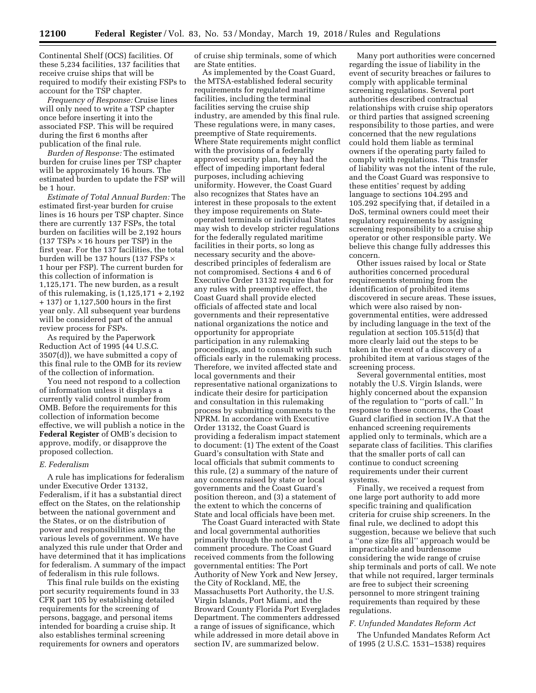Continental Shelf (OCS) facilities. Of these 5,234 facilities, 137 facilities that receive cruise ships that will be required to modify their existing FSPs to account for the TSP chapter.

*Frequency of Response:* Cruise lines will only need to write a TSP chapter once before inserting it into the associated FSP. This will be required during the first 6 months after publication of the final rule.

*Burden of Response:* The estimated burden for cruise lines per TSP chapter will be approximately 16 hours. The estimated burden to update the FSP will be 1 hour.

*Estimate of Total Annual Burden:* The estimated first-year burden for cruise lines is 16 hours per TSP chapter. Since there are currently 137 FSPs, the total burden on facilities will be 2,192 hours  $(137 TSPs \times 16 \text{ hours per TSP})$  in the first year. For the 137 facilities, the total burden will be 137 hours (137 FSPs × 1 hour per FSP). The current burden for this collection of information is 1,125,171. The new burden, as a result of this rulemaking, is (1,125,171 + 2,192 + 137) or 1,127,500 hours in the first year only. All subsequent year burdens will be considered part of the annual review process for FSPs.

As required by the Paperwork Reduction Act of 1995 (44 U.S.C. 3507(d)), we have submitted a copy of this final rule to the OMB for its review of the collection of information.

You need not respond to a collection of information unless it displays a currently valid control number from OMB. Before the requirements for this collection of information become effective, we will publish a notice in the **Federal Register** of OMB's decision to approve, modify, or disapprove the proposed collection.

### *E. Federalism*

A rule has implications for federalism under Executive Order 13132, Federalism, if it has a substantial direct effect on the States, on the relationship between the national government and the States, or on the distribution of power and responsibilities among the various levels of government. We have analyzed this rule under that Order and have determined that it has implications for federalism. A summary of the impact of federalism in this rule follows.

This final rule builds on the existing port security requirements found in 33 CFR part 105 by establishing detailed requirements for the screening of persons, baggage, and personal items intended for boarding a cruise ship. It also establishes terminal screening requirements for owners and operators of cruise ship terminals, some of which are State entities.

As implemented by the Coast Guard, the MTSA-established federal security requirements for regulated maritime facilities, including the terminal facilities serving the cruise ship industry, are amended by this final rule. These regulations were, in many cases, preemptive of State requirements. Where State requirements might conflict with the provisions of a federally approved security plan, they had the effect of impeding important federal purposes, including achieving uniformity. However, the Coast Guard also recognizes that States have an interest in these proposals to the extent they impose requirements on Stateoperated terminals or individual States may wish to develop stricter regulations for the federally regulated maritime facilities in their ports, so long as necessary security and the abovedescribed principles of federalism are not compromised. Sections 4 and 6 of Executive Order 13132 require that for any rules with preemptive effect, the Coast Guard shall provide elected officials of affected state and local governments and their representative national organizations the notice and opportunity for appropriate participation in any rulemaking proceedings, and to consult with such officials early in the rulemaking process. Therefore, we invited affected state and local governments and their representative national organizations to indicate their desire for participation and consultation in this rulemaking process by submitting comments to the NPRM. In accordance with Executive Order 13132, the Coast Guard is providing a federalism impact statement to document: (1) The extent of the Coast Guard's consultation with State and local officials that submit comments to this rule, (2) a summary of the nature of any concerns raised by state or local governments and the Coast Guard's position thereon, and (3) a statement of the extent to which the concerns of State and local officials have been met.

The Coast Guard interacted with State and local governmental authorities primarily through the notice and comment procedure. The Coast Guard received comments from the following governmental entities: The Port Authority of New York and New Jersey, the City of Rockland, ME, the Massachusetts Port Authority, the U.S. Virgin Islands, Port Miami, and the Broward County Florida Port Everglades Department. The commenters addressed a range of issues of significance, which while addressed in more detail above in section IV, are summarized below.

Many port authorities were concerned regarding the issue of liability in the event of security breaches or failures to comply with applicable terminal screening regulations. Several port authorities described contractual relationships with cruise ship operators or third parties that assigned screening responsibility to those parties, and were concerned that the new regulations could hold them liable as terminal owners if the operating party failed to comply with regulations. This transfer of liability was not the intent of the rule, and the Coast Guard was responsive to these entities' request by adding language to sections 104.295 and 105.292 specifying that, if detailed in a DoS, terminal owners could meet their regulatory requirements by assigning screening responsibility to a cruise ship operator or other responsible party. We believe this change fully addresses this concern.

Other issues raised by local or State authorities concerned procedural requirements stemming from the identification of prohibited items discovered in secure areas. These issues, which were also raised by nongovernmental entities, were addressed by including language in the text of the regulation at section 105.515(d) that more clearly laid out the steps to be taken in the event of a discovery of a prohibited item at various stages of the screening process.

Several governmental entities, most notably the U.S. Virgin Islands, were highly concerned about the expansion of the regulation to ''ports of call.'' In response to these concerns, the Coast Guard clarified in section IV.A that the enhanced screening requirements applied only to terminals, which are a separate class of facilities. This clarifies that the smaller ports of call can continue to conduct screening requirements under their current systems.

Finally, we received a request from one large port authority to add more specific training and qualification criteria for cruise ship screeners. In the final rule, we declined to adopt this suggestion, because we believe that such a ''one size fits all'' approach would be impracticable and burdensome considering the wide range of cruise ship terminals and ports of call. We note that while not required, larger terminals are free to subject their screening personnel to more stringent training requirements than required by these regulations.

#### *F. Unfunded Mandates Reform Act*

The Unfunded Mandates Reform Act of 1995 (2 U.S.C. 1531–1538) requires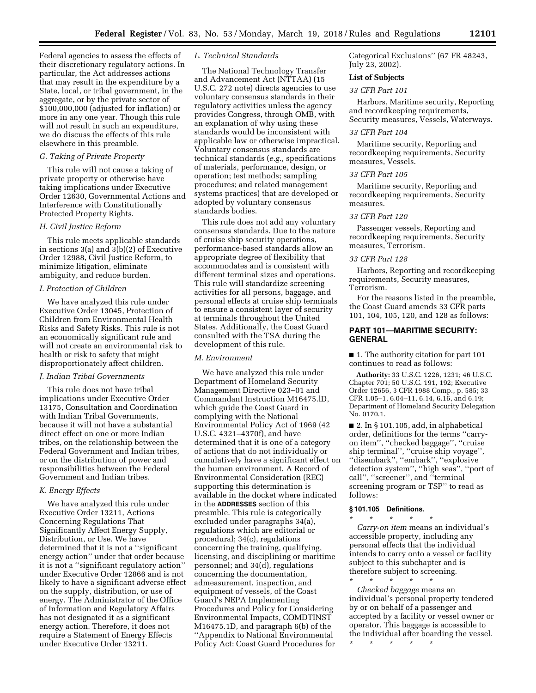Federal agencies to assess the effects of their discretionary regulatory actions. In particular, the Act addresses actions that may result in the expenditure by a State, local, or tribal government, in the aggregate, or by the private sector of \$100,000,000 (adjusted for inflation) or more in any one year. Though this rule will not result in such an expenditure, we do discuss the effects of this rule elsewhere in this preamble.

### *G. Taking of Private Property*

This rule will not cause a taking of private property or otherwise have taking implications under Executive Order 12630, Governmental Actions and Interference with Constitutionally Protected Property Rights.

### *H. Civil Justice Reform*

This rule meets applicable standards in sections 3(a) and 3(b)(2) of Executive Order 12988, Civil Justice Reform, to minimize litigation, eliminate ambiguity, and reduce burden.

## *I. Protection of Children*

We have analyzed this rule under Executive Order 13045, Protection of Children from Environmental Health Risks and Safety Risks. This rule is not an economically significant rule and will not create an environmental risk to health or risk to safety that might disproportionately affect children.

## *J. Indian Tribal Governments*

This rule does not have tribal implications under Executive Order 13175, Consultation and Coordination with Indian Tribal Governments, because it will not have a substantial direct effect on one or more Indian tribes, on the relationship between the Federal Government and Indian tribes, or on the distribution of power and responsibilities between the Federal Government and Indian tribes.

### *K. Energy Effects*

We have analyzed this rule under Executive Order 13211, Actions Concerning Regulations That Significantly Affect Energy Supply, Distribution, or Use. We have determined that it is not a ''significant energy action'' under that order because it is not a ''significant regulatory action'' under Executive Order 12866 and is not likely to have a significant adverse effect on the supply, distribution, or use of energy. The Administrator of the Office of Information and Regulatory Affairs has not designated it as a significant energy action. Therefore, it does not require a Statement of Energy Effects under Executive Order 13211.

### *L. Technical Standards*

The National Technology Transfer and Advancement Act (NTTAA) (15 U.S.C. 272 note) directs agencies to use voluntary consensus standards in their regulatory activities unless the agency provides Congress, through OMB, with an explanation of why using these standards would be inconsistent with applicable law or otherwise impractical. Voluntary consensus standards are technical standards (*e.g.,* specifications of materials, performance, design, or operation; test methods; sampling procedures; and related management systems practices) that are developed or adopted by voluntary consensus standards bodies.

This rule does not add any voluntary consensus standards. Due to the nature of cruise ship security operations, performance-based standards allow an appropriate degree of flexibility that accommodates and is consistent with different terminal sizes and operations. This rule will standardize screening activities for all persons, baggage, and personal effects at cruise ship terminals to ensure a consistent layer of security at terminals throughout the United States. Additionally, the Coast Guard consulted with the TSA during the development of this rule.

#### *M. Environment*

We have analyzed this rule under Department of Homeland Security Management Directive 023–01 and Commandant Instruction M16475.lD, which guide the Coast Guard in complying with the National Environmental Policy Act of 1969 (42 U.S.C. 4321–4370f), and have determined that it is one of a category of actions that do not individually or cumulatively have a significant effect on the human environment. A Record of Environmental Consideration (REC) supporting this determination is available in the docket where indicated in the **ADDRESSES** section of this preamble. This rule is categorically excluded under paragraphs 34(a), regulations which are editorial or procedural; 34(c), regulations concerning the training, qualifying, licensing, and disciplining or maritime personnel; and 34(d), regulations concerning the documentation, admeasurement, inspection, and equipment of vessels, of the Coast Guard's NEPA Implementing Procedures and Policy for Considering Environmental Impacts, COMDTINST M16475.1D, and paragraph 6(b) of the ''Appendix to National Environmental Policy Act: Coast Guard Procedures for

Categorical Exclusions'' (67 FR 48243, July 23, 2002).

## **List of Subjects**

## *33 CFR Part 101*

Harbors, Maritime security, Reporting and recordkeeping requirements, Security measures, Vessels, Waterways.

#### *33 CFR Part 104*

Maritime security, Reporting and recordkeeping requirements, Security measures, Vessels.

### *33 CFR Part 105*

Maritime security, Reporting and recordkeeping requirements, Security measures.

### *33 CFR Part 120*

Passenger vessels, Reporting and recordkeeping requirements, Security measures, Terrorism.

### *33 CFR Part 128*

Harbors, Reporting and recordkeeping requirements, Security measures, Terrorism.

For the reasons listed in the preamble, the Coast Guard amends 33 CFR parts 101, 104, 105, 120, and 128 as follows:

## **PART 101—MARITIME SECURITY: GENERAL**

■ 1. The authority citation for part 101 continues to read as follows:

**Authority:** 33 U.S.C. 1226, 1231; 46 U.S.C. Chapter 701; 50 U.S.C. 191, 192; Executive Order 12656, 3 CFR 1988 Comp., p. 585; 33 CFR 1.05–1, 6.04–11, 6.14, 6.16, and 6.19; Department of Homeland Security Delegation No. 0170.1.

 $\blacksquare$  2. In § 101.105, add, in alphabetical order, definitions for the terms ''carryon item'', ''checked baggage'', ''cruise ship terminal'', ''cruise ship voyage'', ''disembark'', ''embark'', ''explosive detection system'', ''high seas'', ''port of call'', ''screener'', and ''terminal screening program or TSP'' to read as follows:

### **§ 101.105 Definitions.**

# \* \* \* \* \*

*Carry-on item* means an individual's accessible property, including any personal effects that the individual intends to carry onto a vessel or facility subject to this subchapter and is therefore subject to screening.

\* \* \* \* \* *Checked baggage* means an individual's personal property tendered by or on behalf of a passenger and accepted by a facility or vessel owner or operator. This baggage is accessible to the individual after boarding the vessel.

\* \* \* \* \*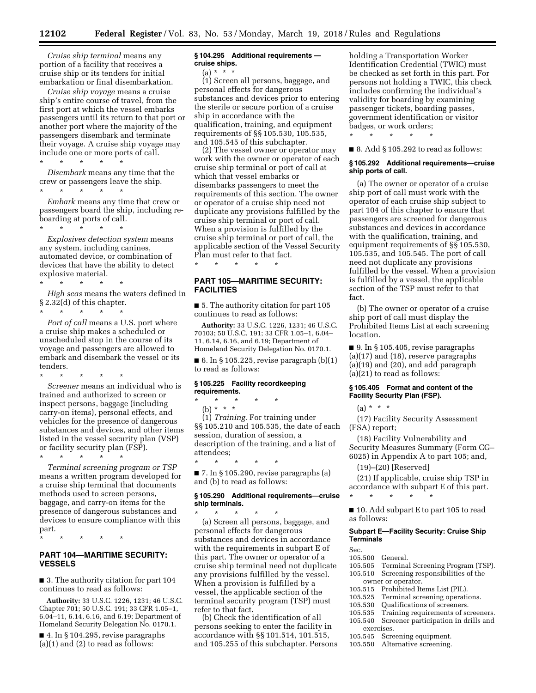*Cruise ship terminal* means any portion of a facility that receives a cruise ship or its tenders for initial embarkation or final disembarkation.

*Cruise ship voyage* means a cruise ship's entire course of travel, from the first port at which the vessel embarks passengers until its return to that port or another port where the majority of the passengers disembark and terminate their voyage. A cruise ship voyage may include one or more ports of call.

\* \* \* \* \* *Disembark* means any time that the crew or passengers leave the ship. \* \* \* \* \*

*Embark* means any time that crew or passengers board the ship, including reboarding at ports of call.

*Explosives detection system* means any system, including canines, automated device, or combination of devices that have the ability to detect explosive material.

\* \* \* \* \*

\* \* \* \* \*

\* \* \* \* \* *High seas* means the waters defined in § 2.32(d) of this chapter.

*Port of call* means a U.S. port where a cruise ship makes a scheduled or unscheduled stop in the course of its voyage and passengers are allowed to embark and disembark the vessel or its tenders.

\* \* \* \* \* *Screener* means an individual who is trained and authorized to screen or inspect persons, baggage (including carry-on items), personal effects, and vehicles for the presence of dangerous substances and devices, and other items listed in the vessel security plan (VSP) or facility security plan (FSP).

\* \* \* \* \* *Terminal screening program or TSP*  means a written program developed for a cruise ship terminal that documents methods used to screen persons, baggage, and carry-on items for the presence of dangerous substances and devices to ensure compliance with this part.

\* \* \* \* \*

## **PART 104—MARITIME SECURITY: VESSELS**

■ 3. The authority citation for part 104 continues to read as follows:

**Authority:** 33 U.S.C. 1226, 1231; 46 U.S.C. Chapter 701; 50 U.S.C. 191; 33 CFR 1.05–1, 6.04–11, 6.14, 6.16, and 6.19; Department of Homeland Security Delegation No. 0170.1.

■ 4. In § 104.295, revise paragraphs (a)(1) and (2) to read as follows:

## **§ 104.295 Additional requirements cruise ships.**

 $(a) * * * *$ 

(1) Screen all persons, baggage, and personal effects for dangerous substances and devices prior to entering the sterile or secure portion of a cruise ship in accordance with the qualification, training, and equipment requirements of §§ 105.530, 105.535, and 105.545 of this subchapter.

(2) The vessel owner or operator may work with the owner or operator of each cruise ship terminal or port of call at which that vessel embarks or disembarks passengers to meet the requirements of this section. The owner or operator of a cruise ship need not duplicate any provisions fulfilled by the cruise ship terminal or port of call. When a provision is fulfilled by the cruise ship terminal or port of call, the applicable section of the Vessel Security Plan must refer to that fact.

# **PART 105—MARITIME SECURITY: FACILITIES**

\* \* \* \* \*

■ 5. The authority citation for part 105 continues to read as follows:

**Authority:** 33 U.S.C. 1226, 1231; 46 U.S.C. 70103; 50 U.S.C. 191; 33 CFR 1.05–1, 6.04– 11, 6.14, 6.16, and 6.19; Department of Homeland Security Delegation No. 0170.1.

 $\blacksquare$  6. In § 105.225, revise paragraph  $(b)(1)$ to read as follows:

## **§ 105.225 Facility recordkeeping requirements.**

\* \* \* \* \* (b) \* \* \*

\* \* \* \* \*

(1) *Training.* For training under §§ 105.210 and 105.535, the date of each session, duration of session, a description of the training, and a list of attendees;

 $\blacksquare$  7. In § 105.290, revise paragraphs (a) and (b) to read as follows:

### **§ 105.290 Additional requirements—cruise ship terminals.**

\* \* \* \* \* (a) Screen all persons, baggage, and personal effects for dangerous substances and devices in accordance with the requirements in subpart E of this part. The owner or operator of a cruise ship terminal need not duplicate any provisions fulfilled by the vessel. When a provision is fulfilled by a vessel, the applicable section of the terminal security program (TSP) must refer to that fact.

(b) Check the identification of all persons seeking to enter the facility in accordance with §§ 101.514, 101.515, and 105.255 of this subchapter. Persons holding a Transportation Worker Identification Credential (TWIC) must be checked as set forth in this part. For persons not holding a TWIC, this check includes confirming the individual's validity for boarding by examining passenger tickets, boarding passes, government identification or visitor badges, or work orders;

■ 8. Add § 105.292 to read as follows:

\* \* \* \* \*

### **§ 105.292 Additional requirements—cruise ship ports of call.**

(a) The owner or operator of a cruise ship port of call must work with the operator of each cruise ship subject to part 104 of this chapter to ensure that passengers are screened for dangerous substances and devices in accordance with the qualification, training, and equipment requirements of §§ 105.530, 105.535, and 105.545. The port of call need not duplicate any provisions fulfilled by the vessel. When a provision is fulfilled by a vessel, the applicable section of the TSP must refer to that fact.

(b) The owner or operator of a cruise ship port of call must display the Prohibited Items List at each screening location.

■ 9. In § 105.405, revise paragraphs (a)(17) and (18), reserve paragraphs  $(a)(19)$  and  $(20)$ , and add paragraph (a)(21) to read as follows:

### **§ 105.405 Format and content of the Facility Security Plan (FSP).**

 $(a) * * * *$ 

(17) Facility Security Assessment (FSA) report;

(18) Facility Vulnerability and Security Measures Summary (Form CG– 6025) in Appendix A to part 105; and,

(19)–(20) [Reserved]

\* \* \* \* \*

(21) If applicable, cruise ship TSP in accordance with subpart E of this part.

■ 10. Add subpart E to part 105 to read as follows:

## **Subpart E—Facility Security: Cruise Ship Terminals**

Sec.

- 105.500 General.
- Terminal Screening Program (TSP).
- 105.510 Screening responsibilities of the
- owner or operator.<br>105.515 Prohibited Ite
- 105.515 Prohibited Items List (PIL).<br>105.525 Terminal screening operation
- 105.525 Terminal screening operations.<br>105.530 Oualifications of screeners.
- 105.530 Qualifications of screeners.<br>105.535 Training requirements of sc
- 105.535 Training requirements of screeners.<br>105.540 Screener participation in drills and Screener participation in drills and exercises.
- 
- 105.545 Screening equipment.<br>105.550 Alternative screening. Alternative screening.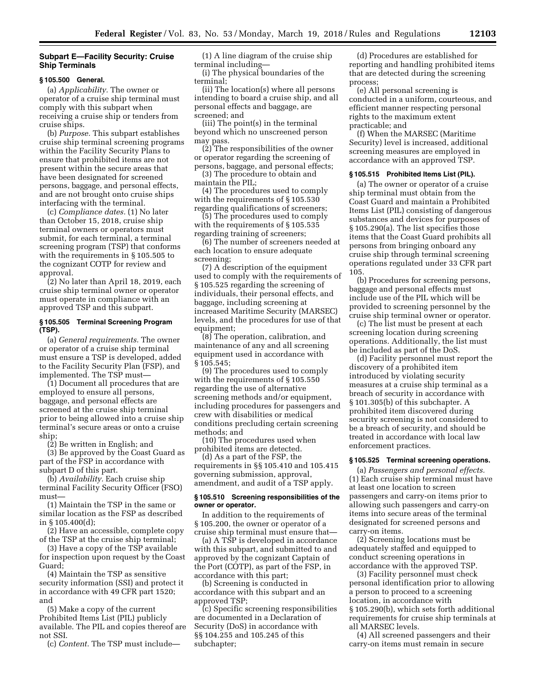## **Subpart E—Facility Security: Cruise Ship Terminals**

#### **§ 105.500 General.**

(a) *Applicability.* The owner or operator of a cruise ship terminal must comply with this subpart when receiving a cruise ship or tenders from cruise ships.

(b) *Purpose.* This subpart establishes cruise ship terminal screening programs within the Facility Security Plans to ensure that prohibited items are not present within the secure areas that have been designated for screened persons, baggage, and personal effects, and are not brought onto cruise ships interfacing with the terminal.

(c) *Compliance dates.* (1) No later than October 15, 2018, cruise ship terminal owners or operators must submit, for each terminal, a terminal screening program (TSP) that conforms with the requirements in § 105.505 to the cognizant COTP for review and approval.

(2) No later than April 18, 2019, each cruise ship terminal owner or operator must operate in compliance with an approved TSP and this subpart.

## **§ 105.505 Terminal Screening Program (TSP).**

(a) *General requirements.* The owner or operator of a cruise ship terminal must ensure a TSP is developed, added to the Facility Security Plan (FSP), and implemented. The TSP must—

(1) Document all procedures that are employed to ensure all persons, baggage, and personal effects are screened at the cruise ship terminal prior to being allowed into a cruise ship terminal's secure areas or onto a cruise ship;

(2) Be written in English; and

(3) Be approved by the Coast Guard as part of the FSP in accordance with subpart D of this part.

(b) *Availability.* Each cruise ship terminal Facility Security Officer (FSO) must—

(1) Maintain the TSP in the same or similar location as the FSP as described in § 105.400(d);

(2) Have an accessible, complete copy of the TSP at the cruise ship terminal;

(3) Have a copy of the TSP available for inspection upon request by the Coast Guard;

(4) Maintain the TSP as sensitive security information (SSI) and protect it in accordance with 49 CFR part 1520; and

(5) Make a copy of the current Prohibited Items List (PIL) publicly available. The PIL and copies thereof are not SSI.

(c) *Content.* The TSP must include—

(1) A line diagram of the cruise ship terminal including—

(i) The physical boundaries of the terminal;

(ii) The location(s) where all persons intending to board a cruise ship, and all personal effects and baggage, are screened; and

(iii) The point(s) in the terminal beyond which no unscreened person may pass.

(2) The responsibilities of the owner or operator regarding the screening of persons, baggage, and personal effects;

(3) The procedure to obtain and maintain the PIL;

(4) The procedures used to comply with the requirements of § 105.530 regarding qualifications of screeners;

(5) The procedures used to comply with the requirements of § 105.535 regarding training of screeners;

(6) The number of screeners needed at each location to ensure adequate screening;

(7) A description of the equipment used to comply with the requirements of § 105.525 regarding the screening of individuals, their personal effects, and baggage, including screening at increased Maritime Security (MARSEC) levels, and the procedures for use of that equipment;

(8) The operation, calibration, and maintenance of any and all screening equipment used in accordance with § 105.545;

(9) The procedures used to comply with the requirements of § 105.550 regarding the use of alternative screening methods and/or equipment, including procedures for passengers and crew with disabilities or medical conditions precluding certain screening methods; and

(10) The procedures used when prohibited items are detected.

(d) As a part of the FSP, the requirements in §§ 105.410 and 105.415 governing submission, approval, amendment, and audit of a TSP apply.

## **§ 105.510 Screening responsibilities of the owner or operator.**

In addition to the requirements of § 105.200, the owner or operator of a cruise ship terminal must ensure that—

(a) A TSP is developed in accordance with this subpart, and submitted to and approved by the cognizant Captain of the Port (COTP), as part of the FSP, in accordance with this part;

(b) Screening is conducted in accordance with this subpart and an approved TSP;

(c) Specific screening responsibilities are documented in a Declaration of Security (DoS) in accordance with §§ 104.255 and 105.245 of this subchapter;

(d) Procedures are established for reporting and handling prohibited items that are detected during the screening process;

(e) All personal screening is conducted in a uniform, courteous, and efficient manner respecting personal rights to the maximum extent practicable; and

(f) When the MARSEC (Maritime Security) level is increased, additional screening measures are employed in accordance with an approved TSP.

#### **§ 105.515 Prohibited Items List (PIL).**

(a) The owner or operator of a cruise ship terminal must obtain from the Coast Guard and maintain a Prohibited Items List (PIL) consisting of dangerous substances and devices for purposes of § 105.290(a). The list specifies those items that the Coast Guard prohibits all persons from bringing onboard any cruise ship through terminal screening operations regulated under 33 CFR part 105.

(b) Procedures for screening persons, baggage and personal effects must include use of the PIL which will be provided to screening personnel by the cruise ship terminal owner or operator.

(c) The list must be present at each screening location during screening operations. Additionally, the list must be included as part of the DoS.

(d) Facility personnel must report the discovery of a prohibited item introduced by violating security measures at a cruise ship terminal as a breach of security in accordance with § 101.305(b) of this subchapter. A prohibited item discovered during security screening is not considered to be a breach of security, and should be treated in accordance with local law enforcement practices.

## **§ 105.525 Terminal screening operations.**

(a) *Passengers and personal effects.*  (1) Each cruise ship terminal must have at least one location to screen passengers and carry-on items prior to allowing such passengers and carry-on items into secure areas of the terminal designated for screened persons and carry-on items.

(2) Screening locations must be adequately staffed and equipped to conduct screening operations in accordance with the approved TSP.

(3) Facility personnel must check personal identification prior to allowing a person to proceed to a screening location, in accordance with § 105.290(b), which sets forth additional requirements for cruise ship terminals at all MARSEC levels.

(4) All screened passengers and their carry-on items must remain in secure